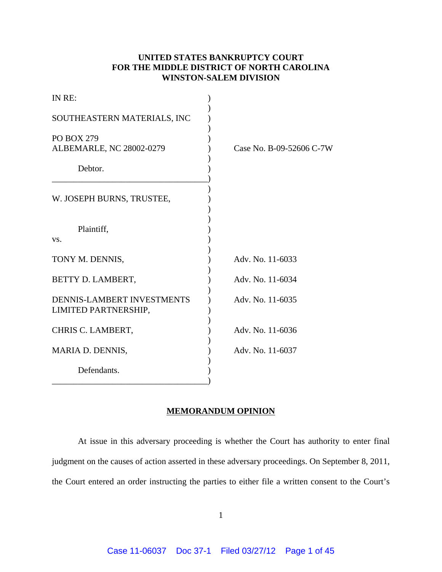# **UNITED STATES BANKRUPTCY COURT FOR THE MIDDLE DISTRICT OF NORTH CAROLINA WINSTON-SALEM DIVISION**

| IN RE:                                                    |                          |
|-----------------------------------------------------------|--------------------------|
| SOUTHEASTERN MATERIALS, INC                               |                          |
| <b>PO BOX 279</b><br>ALBEMARLE, NC 28002-0279             | Case No. B-09-52606 C-7W |
| Debtor.                                                   |                          |
| W. JOSEPH BURNS, TRUSTEE,                                 |                          |
| Plaintiff,<br>VS.                                         |                          |
| TONY M. DENNIS,                                           | Adv. No. 11-6033         |
| BETTY D. LAMBERT,                                         | Adv. No. 11-6034         |
| <b>DENNIS-LAMBERT INVESTMENTS</b><br>LIMITED PARTNERSHIP, | Adv. No. 11-6035         |
| CHRIS C. LAMBERT,                                         | Adv. No. 11-6036         |
| MARIA D. DENNIS,                                          | Adv. No. 11-6037         |
| Defendants.                                               |                          |

# **MEMORANDUM OPINION**

At issue in this adversary proceeding is whether the Court has authority to enter final judgment on the causes of action asserted in these adversary proceedings. On September 8, 2011, the Court entered an order instructing the parties to either file a written consent to the Court's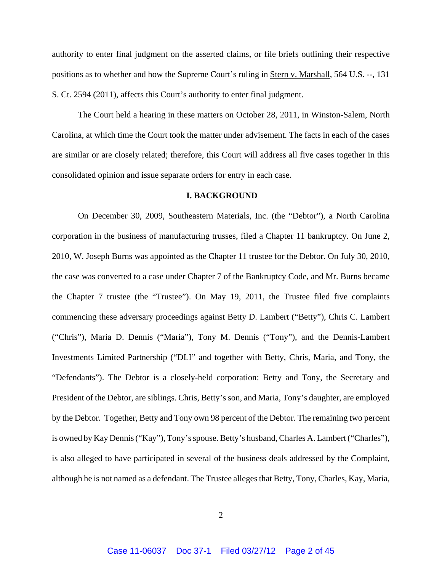authority to enter final judgment on the asserted claims, or file briefs outlining their respective positions as to whether and how the Supreme Court's ruling in Stern v. Marshall, 564 U.S. --, 131 S. Ct. 2594 (2011), affects this Court's authority to enter final judgment.

The Court held a hearing in these matters on October 28, 2011, in Winston-Salem, North Carolina, at which time the Court took the matter under advisement. The facts in each of the cases are similar or are closely related; therefore, this Court will address all five cases together in this consolidated opinion and issue separate orders for entry in each case.

## **I. BACKGROUND**

On December 30, 2009, Southeastern Materials, Inc. (the "Debtor"), a North Carolina corporation in the business of manufacturing trusses, filed a Chapter 11 bankruptcy. On June 2, 2010, W. Joseph Burns was appointed as the Chapter 11 trustee for the Debtor. On July 30, 2010, the case was converted to a case under Chapter 7 of the Bankruptcy Code, and Mr. Burns became the Chapter 7 trustee (the "Trustee"). On May 19, 2011, the Trustee filed five complaints commencing these adversary proceedings against Betty D. Lambert ("Betty"), Chris C. Lambert ("Chris"), Maria D. Dennis ("Maria"), Tony M. Dennis ("Tony"), and the Dennis-Lambert Investments Limited Partnership ("DLI" and together with Betty, Chris, Maria, and Tony, the "Defendants"). The Debtor is a closely-held corporation: Betty and Tony, the Secretary and President of the Debtor, are siblings. Chris, Betty's son, and Maria, Tony's daughter, are employed by the Debtor. Together, Betty and Tony own 98 percent of the Debtor. The remaining two percent is owned by Kay Dennis ("Kay"), Tony's spouse. Betty's husband, Charles A. Lambert ("Charles"), is also alleged to have participated in several of the business deals addressed by the Complaint, although he is not named as a defendant. The Trustee alleges that Betty, Tony, Charles, Kay, Maria,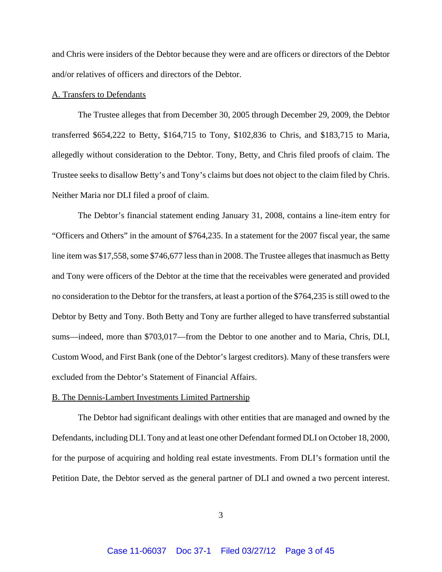and Chris were insiders of the Debtor because they were and are officers or directors of the Debtor and/or relatives of officers and directors of the Debtor.

#### A. Transfers to Defendants

The Trustee alleges that from December 30, 2005 through December 29, 2009, the Debtor transferred \$654,222 to Betty, \$164,715 to Tony, \$102,836 to Chris, and \$183,715 to Maria, allegedly without consideration to the Debtor. Tony, Betty, and Chris filed proofs of claim. The Trustee seeks to disallow Betty's and Tony's claims but does not object to the claim filed by Chris. Neither Maria nor DLI filed a proof of claim.

The Debtor's financial statement ending January 31, 2008, contains a line-item entry for "Officers and Others" in the amount of \$764,235. In a statement for the 2007 fiscal year, the same line item was \$17,558, some \$746,677 less than in 2008. The Trustee alleges that inasmuch as Betty and Tony were officers of the Debtor at the time that the receivables were generated and provided no consideration to the Debtor for the transfers, at least a portion of the \$764,235 is still owed to the Debtor by Betty and Tony. Both Betty and Tony are further alleged to have transferred substantial sums—indeed, more than \$703,017—from the Debtor to one another and to Maria, Chris, DLI, Custom Wood, and First Bank (one of the Debtor's largest creditors). Many of these transfers were excluded from the Debtor's Statement of Financial Affairs.

### B. The Dennis-Lambert Investments Limited Partnership

The Debtor had significant dealings with other entities that are managed and owned by the Defendants, including DLI. Tony and at least one other Defendant formed DLI on October 18, 2000, for the purpose of acquiring and holding real estate investments. From DLI's formation until the Petition Date, the Debtor served as the general partner of DLI and owned a two percent interest.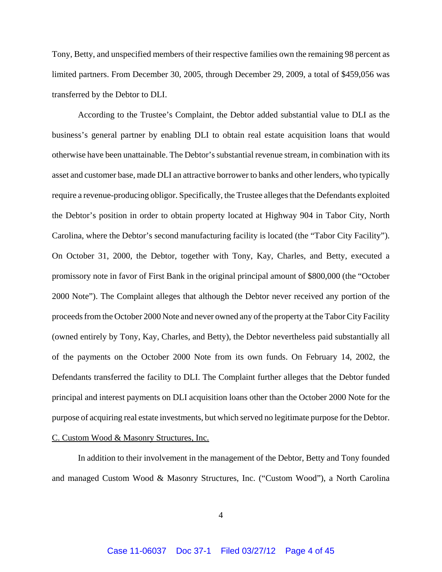Tony, Betty, and unspecified members of their respective families own the remaining 98 percent as limited partners. From December 30, 2005, through December 29, 2009, a total of \$459,056 was transferred by the Debtor to DLI.

According to the Trustee's Complaint, the Debtor added substantial value to DLI as the business's general partner by enabling DLI to obtain real estate acquisition loans that would otherwise have been unattainable. The Debtor's substantial revenue stream, in combination with its asset and customer base, made DLI an attractive borrower to banks and other lenders, who typically require a revenue-producing obligor. Specifically, the Trustee alleges that the Defendants exploited the Debtor's position in order to obtain property located at Highway 904 in Tabor City, North Carolina, where the Debtor's second manufacturing facility is located (the "Tabor City Facility"). On October 31, 2000, the Debtor, together with Tony, Kay, Charles, and Betty, executed a promissory note in favor of First Bank in the original principal amount of \$800,000 (the "October 2000 Note"). The Complaint alleges that although the Debtor never received any portion of the proceeds from the October 2000 Note and never owned any of the property at the Tabor City Facility (owned entirely by Tony, Kay, Charles, and Betty), the Debtor nevertheless paid substantially all of the payments on the October 2000 Note from its own funds. On February 14, 2002, the Defendants transferred the facility to DLI. The Complaint further alleges that the Debtor funded principal and interest payments on DLI acquisition loans other than the October 2000 Note for the purpose of acquiring real estate investments, but which served no legitimate purpose for the Debtor. C. Custom Wood & Masonry Structures, Inc.

In addition to their involvement in the management of the Debtor, Betty and Tony founded and managed Custom Wood & Masonry Structures, Inc. ("Custom Wood"), a North Carolina

4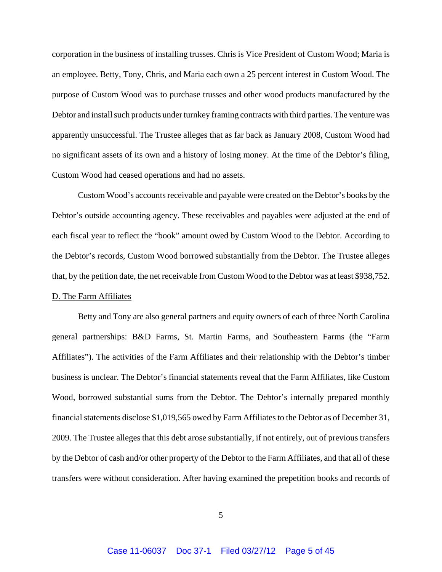corporation in the business of installing trusses. Chris is Vice President of Custom Wood; Maria is an employee. Betty, Tony, Chris, and Maria each own a 25 percent interest in Custom Wood. The purpose of Custom Wood was to purchase trusses and other wood products manufactured by the Debtor and install such products under turnkey framing contracts with third parties. The venture was apparently unsuccessful. The Trustee alleges that as far back as January 2008, Custom Wood had no significant assets of its own and a history of losing money. At the time of the Debtor's filing, Custom Wood had ceased operations and had no assets.

Custom Wood's accounts receivable and payable were created on the Debtor's books by the Debtor's outside accounting agency. These receivables and payables were adjusted at the end of each fiscal year to reflect the "book" amount owed by Custom Wood to the Debtor. According to the Debtor's records, Custom Wood borrowed substantially from the Debtor. The Trustee alleges that, by the petition date, the net receivable from Custom Wood to the Debtor was at least \$938,752. D. The Farm Affiliates

Betty and Tony are also general partners and equity owners of each of three North Carolina general partnerships: B&D Farms, St. Martin Farms, and Southeastern Farms (the "Farm Affiliates"). The activities of the Farm Affiliates and their relationship with the Debtor's timber business is unclear. The Debtor's financial statements reveal that the Farm Affiliates, like Custom Wood, borrowed substantial sums from the Debtor. The Debtor's internally prepared monthly financial statements disclose \$1,019,565 owed by Farm Affiliates to the Debtor as of December 31, 2009. The Trustee alleges that this debt arose substantially, if not entirely, out of previous transfers by the Debtor of cash and/or other property of the Debtor to the Farm Affiliates, and that all of these transfers were without consideration. After having examined the prepetition books and records of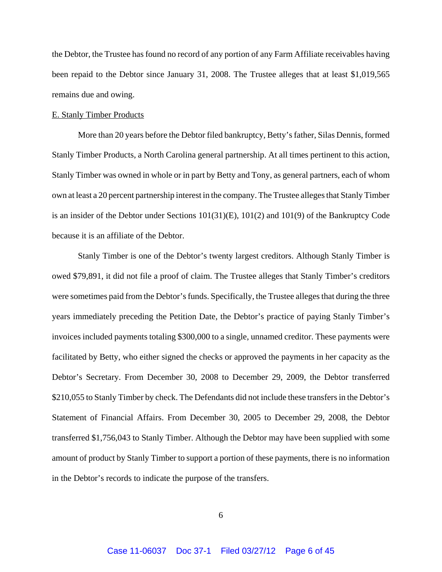the Debtor, the Trustee has found no record of any portion of any Farm Affiliate receivables having been repaid to the Debtor since January 31, 2008. The Trustee alleges that at least \$1,019,565 remains due and owing.

### E. Stanly Timber Products

More than 20 years before the Debtor filed bankruptcy, Betty's father, Silas Dennis, formed Stanly Timber Products, a North Carolina general partnership. At all times pertinent to this action, Stanly Timber was owned in whole or in part by Betty and Tony, as general partners, each of whom own at least a 20 percent partnership interest in the company. The Trustee alleges that Stanly Timber is an insider of the Debtor under Sections 101(31)(E), 101(2) and 101(9) of the Bankruptcy Code because it is an affiliate of the Debtor.

Stanly Timber is one of the Debtor's twenty largest creditors. Although Stanly Timber is owed \$79,891, it did not file a proof of claim. The Trustee alleges that Stanly Timber's creditors were sometimes paid from the Debtor's funds. Specifically, the Trustee alleges that during the three years immediately preceding the Petition Date, the Debtor's practice of paying Stanly Timber's invoices included payments totaling \$300,000 to a single, unnamed creditor. These payments were facilitated by Betty, who either signed the checks or approved the payments in her capacity as the Debtor's Secretary. From December 30, 2008 to December 29, 2009, the Debtor transferred \$210,055 to Stanly Timber by check. The Defendants did not include these transfers in the Debtor's Statement of Financial Affairs. From December 30, 2005 to December 29, 2008, the Debtor transferred \$1,756,043 to Stanly Timber. Although the Debtor may have been supplied with some amount of product by Stanly Timber to support a portion of these payments, there is no information in the Debtor's records to indicate the purpose of the transfers.

6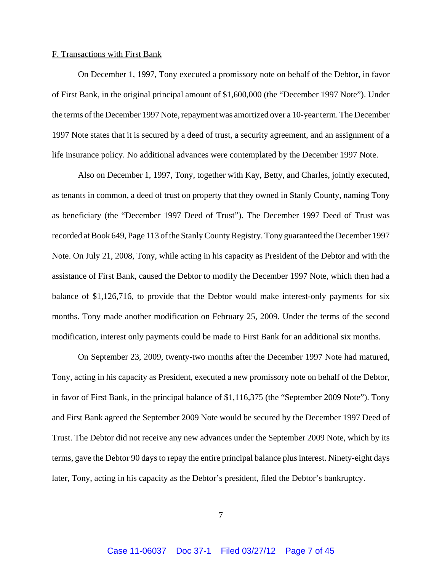#### F. Transactions with First Bank

On December 1, 1997, Tony executed a promissory note on behalf of the Debtor, in favor of First Bank, in the original principal amount of \$1,600,000 (the "December 1997 Note"). Under the terms of the December 1997 Note, repayment was amortized over a 10-year term. The December 1997 Note states that it is secured by a deed of trust, a security agreement, and an assignment of a life insurance policy. No additional advances were contemplated by the December 1997 Note.

Also on December 1, 1997, Tony, together with Kay, Betty, and Charles, jointly executed, as tenants in common, a deed of trust on property that they owned in Stanly County, naming Tony as beneficiary (the "December 1997 Deed of Trust"). The December 1997 Deed of Trust was recorded at Book 649, Page 113 of the Stanly County Registry. Tony guaranteed the December 1997 Note. On July 21, 2008, Tony, while acting in his capacity as President of the Debtor and with the assistance of First Bank, caused the Debtor to modify the December 1997 Note, which then had a balance of \$1,126,716, to provide that the Debtor would make interest-only payments for six months. Tony made another modification on February 25, 2009. Under the terms of the second modification, interest only payments could be made to First Bank for an additional six months.

On September 23, 2009, twenty-two months after the December 1997 Note had matured, Tony, acting in his capacity as President, executed a new promissory note on behalf of the Debtor, in favor of First Bank, in the principal balance of \$1,116,375 (the "September 2009 Note"). Tony and First Bank agreed the September 2009 Note would be secured by the December 1997 Deed of Trust. The Debtor did not receive any new advances under the September 2009 Note, which by its terms, gave the Debtor 90 days to repay the entire principal balance plus interest. Ninety-eight days later, Tony, acting in his capacity as the Debtor's president, filed the Debtor's bankruptcy.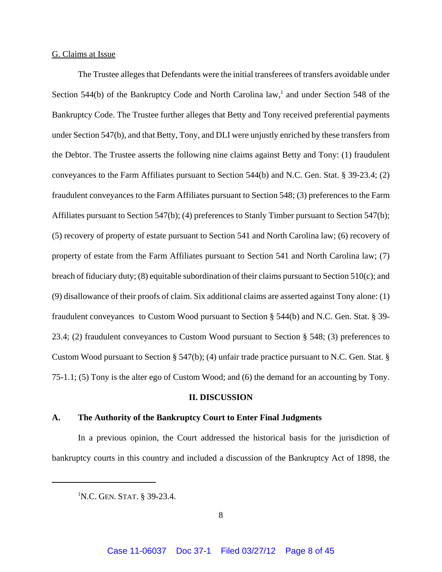### G. Claims at Issue

The Trustee alleges that Defendants were the initial transferees of transfers avoidable under Section 544(b) of the Bankruptcy Code and North Carolina law,<sup>1</sup> and under Section 548 of the Bankruptcy Code. The Trustee further alleges that Betty and Tony received preferential payments under Section 547(b), and that Betty, Tony, and DLI were unjustly enriched by these transfers from the Debtor. The Trustee asserts the following nine claims against Betty and Tony: (1) fraudulent conveyances to the Farm Affiliates pursuant to Section 544(b) and N.C. Gen. Stat. § 39-23.4; (2) fraudulent conveyances to the Farm Affiliates pursuant to Section 548; (3) preferences to the Farm Affiliates pursuant to Section 547(b); (4) preferences to Stanly Timber pursuant to Section 547(b); (5) recovery of property of estate pursuant to Section 541 and North Carolina law; (6) recovery of property of estate from the Farm Affiliates pursuant to Section 541 and North Carolina law; (7) breach of fiduciary duty; (8) equitable subordination of their claims pursuant to Section 510(c); and (9) disallowance of their proofs of claim. Six additional claims are asserted against Tony alone: (1) fraudulent conveyances to Custom Wood pursuant to Section § 544(b) and N.C. Gen. Stat. § 39- 23.4; (2) fraudulent conveyances to Custom Wood pursuant to Section § 548; (3) preferences to Custom Wood pursuant to Section § 547(b); (4) unfair trade practice pursuant to N.C. Gen. Stat. § 75-1.1; (5) Tony is the alter ego of Custom Wood; and (6) the demand for an accounting by Tony.

### **II. DISCUSSION**

#### **A. The Authority of the Bankruptcy Court to Enter Final Judgments**

In a previous opinion, the Court addressed the historical basis for the jurisdiction of bankruptcy courts in this country and included a discussion of the Bankruptcy Act of 1898, the

<sup>&</sup>lt;sup>1</sup>N.C. GEN. STAT. § 39-23.4.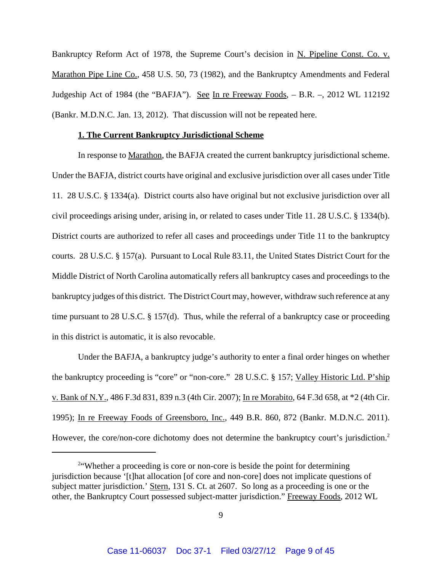Bankruptcy Reform Act of 1978, the Supreme Court's decision in N. Pipeline Const. Co. v. Marathon Pipe Line Co., 458 U.S. 50, 73 (1982), and the Bankruptcy Amendments and Federal Judgeship Act of 1984 (the "BAFJA"). See In re Freeway Foods,  $-$  B.R.  $-$ , 2012 WL 112192 (Bankr. M.D.N.C. Jan. 13, 2012). That discussion will not be repeated here.

### **1. The Current Bankruptcy Jurisdictional Scheme**

In response to Marathon, the BAFJA created the current bankruptcy jurisdictional scheme. Under the BAFJA, district courts have original and exclusive jurisdiction over all cases under Title 11. 28 U.S.C. § 1334(a). District courts also have original but not exclusive jurisdiction over all civil proceedings arising under, arising in, or related to cases under Title 11. 28 U.S.C. § 1334(b). District courts are authorized to refer all cases and proceedings under Title 11 to the bankruptcy courts. 28 U.S.C. § 157(a). Pursuant to Local Rule 83.11, the United States District Court for the Middle District of North Carolina automatically refers all bankruptcy cases and proceedings to the bankruptcy judges of this district. The District Court may, however, withdraw such reference at any time pursuant to 28 U.S.C. § 157(d). Thus, while the referral of a bankruptcy case or proceeding in this district is automatic, it is also revocable.

Under the BAFJA, a bankruptcy judge's authority to enter a final order hinges on whether the bankruptcy proceeding is "core" or "non-core." 28 U.S.C. § 157; Valley Historic Ltd. P'ship v. Bank of N.Y., 486 F.3d 831, 839 n.3 (4th Cir. 2007); In re Morabito, 64 F.3d 658, at \*2 (4th Cir. 1995); In re Freeway Foods of Greensboro, Inc., 449 B.R. 860, 872 (Bankr. M.D.N.C. 2011). However, the core/non-core dichotomy does not determine the bankruptcy court's jurisdiction.<sup>2</sup>

<sup>&</sup>lt;sup>2</sup> Whether a proceeding is core or non-core is beside the point for determining jurisdiction because '[t]hat allocation [of core and non-core] does not implicate questions of subject matter jurisdiction.' Stern, 131 S. Ct. at 2607. So long as a proceeding is one or the other, the Bankruptcy Court possessed subject-matter jurisdiction." Freeway Foods, 2012 WL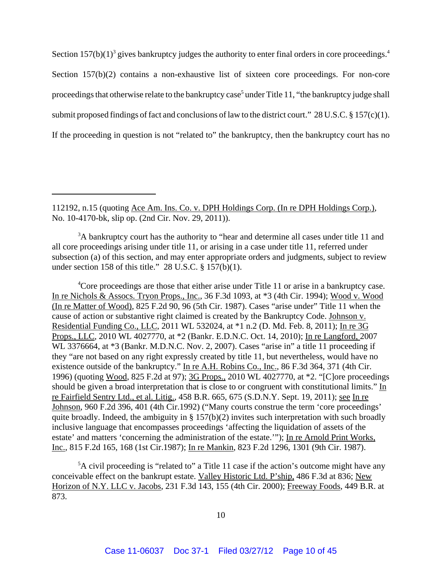Section  $157(b)(1)^3$  gives bankruptcy judges the authority to enter final orders in core proceedings.<sup>4</sup> Section 157(b)(2) contains a non-exhaustive list of sixteen core proceedings. For non-core proceedings that otherwise relate to the bankruptcy case<sup>5</sup> under Title 11, "the bankruptcy judge shall submit proposed findings of fact and conclusions of law to the district court." 28 U.S.C. § 157(c)(1). If the proceeding in question is not "related to" the bankruptcy, then the bankruptcy court has no

<sup>4</sup>Core proceedings are those that either arise under Title 11 or arise in a bankruptcy case. In re Nichols & Assocs. Tryon Props., Inc., 36 F.3d 1093, at \*3 (4th Cir. 1994); Wood v. Wood (In re Matter of Wood), 825 F.2d 90, 96 (5th Cir. 1987). Cases "arise under" Title 11 when the cause of action or substantive right claimed is created by the Bankruptcy Code. Johnson v. Residential Funding Co., LLC, 2011 WL 532024, at \*1 n.2 (D. Md. Feb. 8, 2011); In re 3G Props., LLC, 2010 WL 4027770, at \*2 (Bankr. E.D.N.C. Oct. 14, 2010); In re Langford, 2007 WL 3376664, at  $*3$  (Bankr. M.D.N.C. Nov. 2, 2007). Cases "arise in" a title 11 proceeding if they "are not based on any right expressly created by title 11, but nevertheless, would have no existence outside of the bankruptcy." In re A.H. Robins Co., Inc., 86 F.3d 364, 371 (4th Cir. 1996) (quoting Wood, 825 F.2d at 97); 3G Props., 2010 WL 4027770, at \*2. "[C]ore proceedings should be given a broad interpretation that is close to or congruent with constitutional limits." In re Fairfield Sentry Ltd., et al. Litig., 458 B.R. 665, 675 (S.D.N.Y. Sept. 19, 2011); see In re Johnson, 960 F.2d 396, 401 (4th Cir.1992) ("Many courts construe the term 'core proceedings' quite broadly. Indeed, the ambiguity in  $\S 157(b)(2)$  invites such interpretation with such broadly inclusive language that encompasses proceedings 'affecting the liquidation of assets of the estate' and matters 'concerning the administration of the estate.'"); In re Arnold Print Works, Inc., 815 F.2d 165, 168 (1st Cir.1987); In re Mankin, 823 F.2d 1296, 1301 (9th Cir. 1987).

<sup>5</sup>A civil proceeding is "related to" a Title 11 case if the action's outcome might have any conceivable effect on the bankrupt estate. Valley Historic Ltd. P'ship, 486 F.3d at 836; New Horizon of N.Y. LLC v. Jacobs, 231 F.3d 143, 155 (4th Cir. 2000); Freeway Foods, 449 B.R. at 873.

<sup>112192,</sup> n.15 (quoting Ace Am. Ins. Co. v. DPH Holdings Corp. (In re DPH Holdings Corp.), No. 10-4170-bk, slip op. (2nd Cir. Nov. 29, 2011)).

<sup>&</sup>lt;sup>3</sup>A bankruptcy court has the authority to "hear and determine all cases under title 11 and all core proceedings arising under title 11, or arising in a case under title 11, referred under subsection (a) of this section, and may enter appropriate orders and judgments, subject to review under section 158 of this title." 28 U.S.C. § 157(b)(1).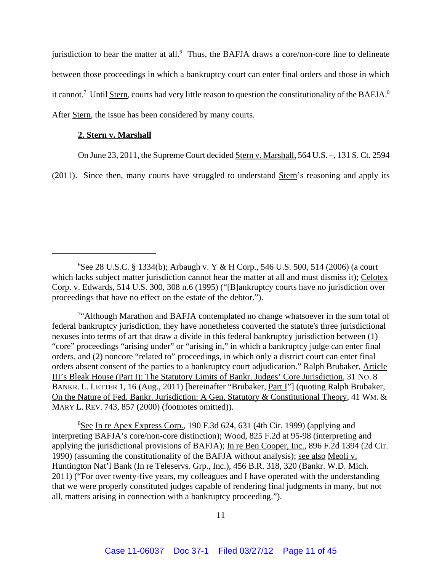jurisdiction to hear the matter at all.<sup>6</sup> Thus, the BAFJA draws a core/non-core line to delineate between those proceedings in which a bankruptcy court can enter final orders and those in which it cannot.<sup>7</sup> Until Stern, courts had very little reason to question the constitutionality of the BAFJA.<sup>8</sup> After Stern, the issue has been considered by many courts.

## **2. Stern v. Marshall**

On June 23, 2011, the Supreme Court decided Stern v. Marshall, 564 U.S. –, 131 S. Ct. 2594

(2011). Since then, many courts have struggled to understand Stern's reasoning and apply its

<sup>7"</sup>Although Marathon and BAFJA contemplated no change whatsoever in the sum total of federal bankruptcy jurisdiction, they have nonetheless converted the statute's three jurisdictional nexuses into terms of art that draw a divide in this federal bankruptcy jurisdiction between (1) "core" proceedings "arising under" or "arising in," in which a bankruptcy judge can enter final orders, and (2) noncore "related to" proceedings, in which only a district court can enter final orders absent consent of the parties to a bankruptcy court adjudication." Ralph Brubaker, Article III's Bleak House (Part I): The Statutory Limits of Bankr. Judges' Core Jurisdiction, 31 NO. 8 BANKR. L. LETTER 1, 16 (Aug., 2011) [hereinafter "Brubaker, Part I"] (quoting Ralph Brubaker, On the Nature of Fed. Bankr. Jurisdiction: A Gen. Statutory & Constitutional Theory, 41 WM. & MARY L. REV. 743, 857 (2000) (footnotes omitted)).

<sup>8</sup>See In re Apex Express Corp., 190 F.3d 624, 631 (4th Cir. 1999) (applying and interpreting BAFJA's core/non-core distinction); Wood, 825 F.2d at 95-98 (interpreting and applying the jurisdictional provisions of BAFJA); In re Ben Cooper, Inc., 896 F.2d 1394 (2d Cir. 1990) (assuming the constitutionality of the BAFJA without analysis); see also Meoli v. Huntington Nat'l Bank (In re Teleservs. Grp., Inc.), 456 B.R. 318, 320 (Bankr. W.D. Mich. 2011) ("For over twenty-five years, my colleagues and I have operated with the understanding that we were properly constituted judges capable of rendering final judgments in many, but not all, matters arising in connection with a bankruptcy proceeding.").

<sup>&</sup>lt;sup>6</sup>See 28 U.S.C. § 1334(b); Arbaugh v. Y & H Corp., 546 U.S. 500, 514 (2006) (a court which lacks subject matter jurisdiction cannot hear the matter at all and must dismiss it); Celotex Corp. v. Edwards, 514 U.S. 300, 308 n.6 (1995) ("[B]ankruptcy courts have no jurisdiction over proceedings that have no effect on the estate of the debtor.").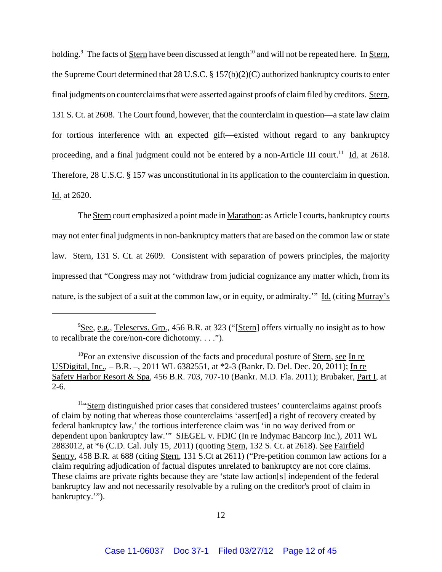holding.<sup>9</sup> The facts of <u>Stern</u> have been discussed at length<sup>10</sup> and will not be repeated here. In <u>Stern</u>, the Supreme Court determined that 28 U.S.C. § 157(b)(2)(C) authorized bankruptcy courts to enter final judgments on counterclaims that were asserted against proofs of claim filed by creditors. Stern, 131 S. Ct. at 2608. The Court found, however, that the counterclaim in question—a state law claim for tortious interference with an expected gift—existed without regard to any bankruptcy proceeding, and a final judgment could not be entered by a non-Article III court.<sup>11</sup> Id. at 2618. Therefore, 28 U.S.C. § 157 was unconstitutional in its application to the counterclaim in question. Id. at 2620.

The Stern court emphasized a point made in Marathon: as Article I courts, bankruptcy courts may not enter final judgments in non-bankruptcy matters that are based on the common law or state law. Stern, 131 S. Ct. at 2609. Consistent with separation of powers principles, the majority impressed that "Congress may not 'withdraw from judicial cognizance any matter which, from its nature, is the subject of a suit at the common law, or in equity, or admiralty.'" Id. (citing Murray's

11"Stern distinguished prior cases that considered trustees' counterclaims against proofs of claim by noting that whereas those counterclaims 'assert[ed] a right of recovery created by federal bankruptcy law,' the tortious interference claim was 'in no way derived from or dependent upon bankruptcy law.'" SIEGEL v. FDIC (In re Indymac Bancorp Inc.), 2011 WL 2883012, at \*6 (C.D. Cal. July 15, 2011) (quoting Stern, 132 S. Ct. at 2618). See Fairfield Sentry, 458 B.R. at 688 (citing Stern, 131 S.Ct at 2611) ("Pre-petition common law actions for a claim requiring adjudication of factual disputes unrelated to bankruptcy are not core claims. These claims are private rights because they are 'state law action[s] independent of the federal bankruptcy law and not necessarily resolvable by a ruling on the creditor's proof of claim in bankruptcy.'").

<sup>&</sup>lt;sup>9</sup>See, e.g., Teleservs. Grp., 456 B.R. at 323 ("[Stern] offers virtually no insight as to how to recalibrate the core/non-core dichotomy. . . .").

<sup>&</sup>lt;sup>10</sup>For an extensive discussion of the facts and procedural posture of Stern, see In re USDigital, Inc., – B.R. –, 2011 WL 6382551, at \*2-3 (Bankr. D. Del. Dec. 20, 2011); In re Safety Harbor Resort & Spa, 456 B.R. 703, 707-10 (Bankr. M.D. Fla. 2011); Brubaker, Part I, at 2-6.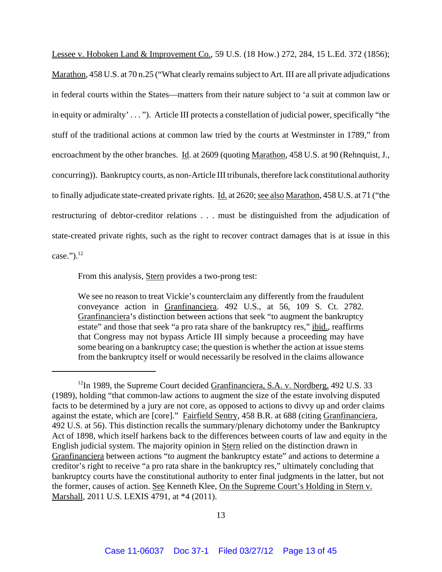Lessee v. Hoboken Land & Improvement Co., 59 U.S. (18 How.) 272, 284, 15 L.Ed. 372 (1856); Marathon, 458 U.S. at 70 n.25 ("What clearly remains subject to Art. III are all private adjudications in federal courts within the States—matters from their nature subject to 'a suit at common law or in equity or admiralty' . . . "). Article III protects a constellation of judicial power, specifically "the stuff of the traditional actions at common law tried by the courts at Westminster in 1789," from encroachment by the other branches. Id. at 2609 (quoting Marathon, 458 U.S. at 90 (Rehnquist, J., concurring)). Bankruptcy courts, as non-Article III tribunals, therefore lack constitutional authority to finally adjudicate state-created private rights. Id. at 2620; see also Marathon, 458 U.S. at 71 ("the restructuring of debtor-creditor relations . . . must be distinguished from the adjudication of state-created private rights, such as the right to recover contract damages that is at issue in this case." $)^{12}$ 

From this analysis, **Stern** provides a two-prong test:

We see no reason to treat Vickie's counterclaim any differently from the fraudulent conveyance action in Granfinanciera. 492 U.S., at 56, 109 S. Ct. 2782. Granfinanciera's distinction between actions that seek "to augment the bankruptcy estate" and those that seek "a pro rata share of the bankruptcy res," ibid., reaffirms that Congress may not bypass Article III simply because a proceeding may have some bearing on a bankruptcy case; the question is whether the action at issue stems from the bankruptcy itself or would necessarily be resolved in the claims allowance

<sup>&</sup>lt;sup>12</sup>In 1989, the Supreme Court decided Granfinanciera, S.A. v. Nordberg, 492 U.S. 33 (1989), holding "that common-law actions to augment the size of the estate involving disputed facts to be determined by a jury are not core, as opposed to actions to divvy up and order claims against the estate, which are [core]." Fairfield Sentry, 458 B.R. at 688 (citing Granfinanciera, 492 U.S. at 56). This distinction recalls the summary/plenary dichotomy under the Bankruptcy Act of 1898, which itself harkens back to the differences between courts of law and equity in the English judicial system. The majority opinion in Stern relied on the distinction drawn in Granfinanciera between actions "to augment the bankruptcy estate" and actions to determine a creditor's right to receive "a pro rata share in the bankruptcy res," ultimately concluding that bankruptcy courts have the constitutional authority to enter final judgments in the latter, but not the former, causes of action. See Kenneth Klee, On the Supreme Court's Holding in Stern v. Marshall, 2011 U.S. LEXIS 4791, at \*4 (2011).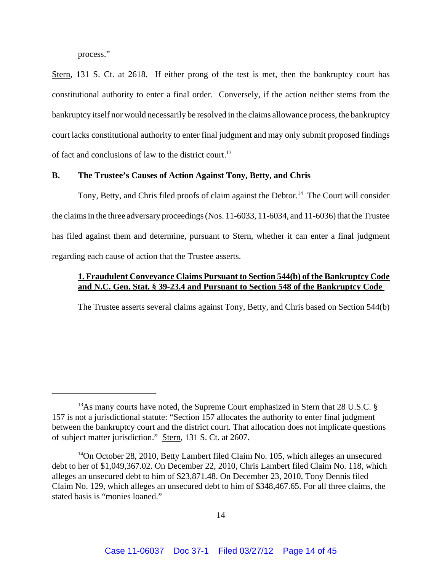process."

Stern, 131 S. Ct. at 2618. If either prong of the test is met, then the bankruptcy court has constitutional authority to enter a final order. Conversely, if the action neither stems from the bankruptcy itself nor would necessarily be resolved in the claims allowance process, the bankruptcy court lacks constitutional authority to enter final judgment and may only submit proposed findings of fact and conclusions of law to the district court.<sup>13</sup>

## **B. The Trustee's Causes of Action Against Tony, Betty, and Chris**

Tony, Betty, and Chris filed proofs of claim against the Debtor.<sup>14</sup> The Court will consider the claims in the three adversary proceedings (Nos. 11-6033, 11-6034, and 11-6036) that the Trustee has filed against them and determine, pursuant to Stern, whether it can enter a final judgment regarding each cause of action that the Trustee asserts.

## **1. Fraudulent Conveyance Claims Pursuant to Section 544(b) of the Bankruptcy Code and N.C. Gen. Stat. § 39-23.4 and Pursuant to Section 548 of the Bankruptcy Code**

The Trustee asserts several claims against Tony, Betty, and Chris based on Section 544(b)

 $13\text{As}$  many courts have noted, the Supreme Court emphasized in Stern that 28 U.S.C. § 157 is not a jurisdictional statute: "Section 157 allocates the authority to enter final judgment between the bankruptcy court and the district court. That allocation does not implicate questions of subject matter jurisdiction." Stern, 131 S. Ct. at 2607.

<sup>&</sup>lt;sup>14</sup>On October 28, 2010, Betty Lambert filed Claim No. 105, which alleges an unsecured debt to her of \$1,049,367.02. On December 22, 2010, Chris Lambert filed Claim No. 118, which alleges an unsecured debt to him of \$23,871.48. On December 23, 2010, Tony Dennis filed Claim No. 129, which alleges an unsecured debt to him of \$348,467.65. For all three claims, the stated basis is "monies loaned."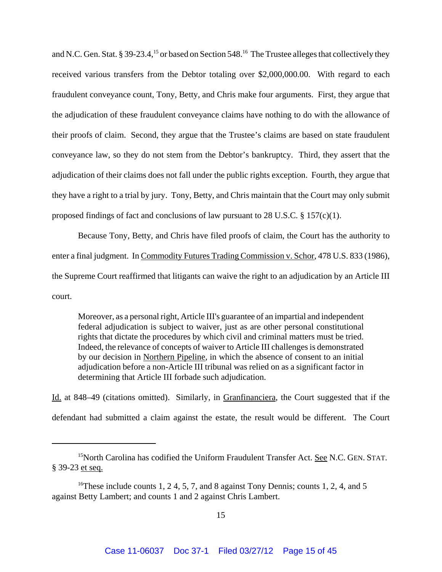and N.C. Gen. Stat. § 39-23.4,<sup>15</sup> or based on Section 548.<sup>16</sup> The Trustee alleges that collectively they received various transfers from the Debtor totaling over \$2,000,000.00. With regard to each fraudulent conveyance count, Tony, Betty, and Chris make four arguments. First, they argue that the adjudication of these fraudulent conveyance claims have nothing to do with the allowance of their proofs of claim. Second, they argue that the Trustee's claims are based on state fraudulent conveyance law, so they do not stem from the Debtor's bankruptcy. Third, they assert that the adjudication of their claims does not fall under the public rights exception. Fourth, they argue that they have a right to a trial by jury. Tony, Betty, and Chris maintain that the Court may only submit proposed findings of fact and conclusions of law pursuant to 28 U.S.C.  $\S$  157(c)(1).

Because Tony, Betty, and Chris have filed proofs of claim, the Court has the authority to enter a final judgment. In Commodity Futures Trading Commission v. Schor, 478 U.S. 833 (1986), the Supreme Court reaffirmed that litigants can waive the right to an adjudication by an Article III court.

Moreover, as a personal right, Article III's guarantee of an impartial and independent federal adjudication is subject to waiver, just as are other personal constitutional rights that dictate the procedures by which civil and criminal matters must be tried. Indeed, the relevance of concepts of waiver to Article III challenges is demonstrated by our decision in Northern Pipeline, in which the absence of consent to an initial adjudication before a non-Article III tribunal was relied on as a significant factor in determining that Article III forbade such adjudication.

Id. at 848–49 (citations omitted). Similarly, in Granfinanciera, the Court suggested that if the defendant had submitted a claim against the estate, the result would be different. The Court

<sup>&</sup>lt;sup>15</sup>North Carolina has codified the Uniform Fraudulent Transfer Act. See N.C. GEN. STAT. § 39-23 et seq.

<sup>&</sup>lt;sup>16</sup>These include counts 1, 2 4, 5, 7, and 8 against Tony Dennis; counts 1, 2, 4, and 5 against Betty Lambert; and counts 1 and 2 against Chris Lambert.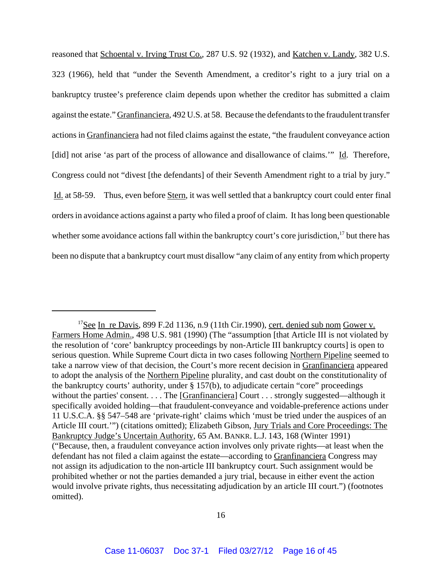reasoned that Schoental v. Irving Trust Co., 287 U.S. 92 (1932), and Katchen v. Landy, 382 U.S. 323 (1966), held that "under the Seventh Amendment, a creditor's right to a jury trial on a bankruptcy trustee's preference claim depends upon whether the creditor has submitted a claim against the estate." Granfinanciera, 492 U.S. at 58. Because the defendants to the fraudulent transfer actions in Granfinanciera had not filed claims against the estate, "the fraudulent conveyance action [did] not arise 'as part of the process of allowance and disallowance of claims."" Id. Therefore, Congress could not "divest [the defendants] of their Seventh Amendment right to a trial by jury." Id. at 58-59. Thus, even before Stern, it was well settled that a bankruptcy court could enter final orders in avoidance actions against a party who filed a proof of claim. It has long been questionable whether some avoidance actions fall within the bankruptcy court's core jurisdiction,<sup>17</sup> but there has been no dispute that a bankruptcy court must disallow "any claim of any entity from which property

 $17$ See In re Davis, 899 F.2d 1136, n.9 (11th Cir.1990), cert. denied sub nom Gower v. Farmers Home Admin., 498 U.S. 981 (1990) (The "assumption [that Article III is not violated by the resolution of 'core' bankruptcy proceedings by non-Article III bankruptcy courts] is open to serious question. While Supreme Court dicta in two cases following Northern Pipeline seemed to take a narrow view of that decision, the Court's more recent decision in Granfinanciera appeared to adopt the analysis of the Northern Pipeline plurality, and cast doubt on the constitutionality of the bankruptcy courts' authority, under § 157(b), to adjudicate certain "core" proceedings without the parties' consent. . . . The [Granfinanciera] Court . . . strongly suggested—although it specifically avoided holding—that fraudulent-conveyance and voidable-preference actions under 11 U.S.C.A. §§ 547–548 are 'private-right' claims which 'must be tried under the auspices of an Article III court.'") (citations omitted); Elizabeth Gibson, Jury Trials and Core Proceedings: The Bankruptcy Judge's Uncertain Authority, 65 AM. BANKR. L.J. 143, 168 (Winter 1991) ("Because, then, a fraudulent conveyance action involves only private rights—at least when the defendant has not filed a claim against the estate—according to Granfinanciera Congress may not assign its adjudication to the non-article III bankruptcy court. Such assignment would be prohibited whether or not the parties demanded a jury trial, because in either event the action would involve private rights, thus necessitating adjudication by an article III court.") (footnotes omitted).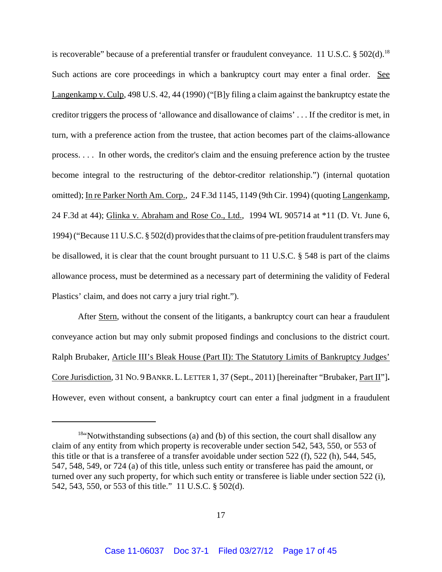is recoverable" because of a preferential transfer or fraudulent conveyance. 11 U.S.C.  $\S 502(d)$ .<sup>18</sup> Such actions are core proceedings in which a bankruptcy court may enter a final order. See Langenkamp v. Culp, 498 U.S. 42, 44 (1990) ("[B]y filing a claim against the bankruptcy estate the creditor triggers the process of 'allowance and disallowance of claims' . . . If the creditor is met, in turn, with a preference action from the trustee, that action becomes part of the claims-allowance process. . . . In other words, the creditor's claim and the ensuing preference action by the trustee become integral to the restructuring of the debtor-creditor relationship.") (internal quotation omitted); In re Parker North Am. Corp., 24 F.3d 1145, 1149 (9th Cir. 1994) (quoting Langenkamp, 24 F.3d at 44); Glinka v. Abraham and Rose Co., Ltd., 1994 WL 905714 at \*11 (D. Vt. June 6, 1994) ("Because 11 U.S.C. § 502(d) provides that the claims of pre-petition fraudulent transfers may be disallowed, it is clear that the count brought pursuant to 11 U.S.C. § 548 is part of the claims allowance process, must be determined as a necessary part of determining the validity of Federal Plastics' claim, and does not carry a jury trial right.").

After <u>Stern</u>, without the consent of the litigants, a bankruptcy court can hear a fraudulent conveyance action but may only submit proposed findings and conclusions to the district court. Ralph Brubaker, Article III's Bleak House (Part II): The Statutory Limits of Bankruptcy Judges' Core Jurisdiction, 31 NO. 9BANKR. L. LETTER 1, 37 (Sept., 2011) [hereinafter "Brubaker, Part II"]**.** However, even without consent, a bankruptcy court can enter a final judgment in a fraudulent

<sup>&</sup>lt;sup>18"</sup>Notwithstanding subsections (a) and (b) of this section, the court shall disallow any claim of any entity from which property is recoverable under section 542, 543, 550, or 553 of this title or that is a transferee of a transfer avoidable under section 522 (f), 522 (h), 544, 545, 547, 548, 549, or 724 (a) of this title, unless such entity or transferee has paid the amount, or turned over any such property, for which such entity or transferee is liable under section 522 (i), 542, 543, 550, or 553 of this title." 11 U.S.C. § 502(d).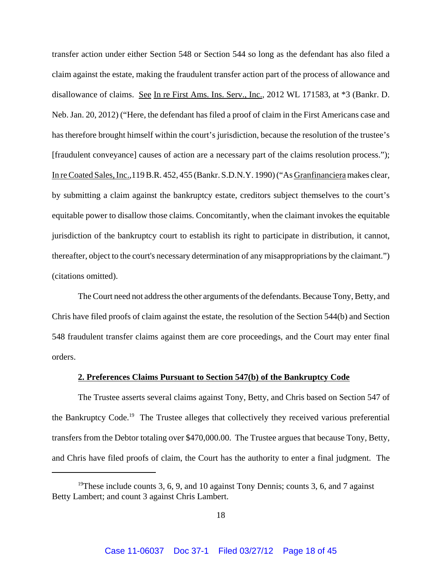transfer action under either Section 548 or Section 544 so long as the defendant has also filed a claim against the estate, making the fraudulent transfer action part of the process of allowance and disallowance of claims. See In re First Ams. Ins. Serv., Inc., 2012 WL 171583, at \*3 (Bankr. D. Neb. Jan. 20, 2012) ("Here, the defendant has filed a proof of claim in the First Americans case and has therefore brought himself within the court's jurisdiction, because the resolution of the trustee's [fraudulent conveyance] causes of action are a necessary part of the claims resolution process."); In re Coated Sales, Inc.,119 B.R. 452, 455 (Bankr. S.D.N.Y. 1990) ("As Granfinanciera makes clear, by submitting a claim against the bankruptcy estate, creditors subject themselves to the court's equitable power to disallow those claims. Concomitantly, when the claimant invokes the equitable jurisdiction of the bankruptcy court to establish its right to participate in distribution, it cannot, thereafter, object to the court's necessary determination of any misappropriations by the claimant.") (citations omitted).

The Court need not address the other arguments of the defendants. Because Tony, Betty, and Chris have filed proofs of claim against the estate, the resolution of the Section 544(b) and Section 548 fraudulent transfer claims against them are core proceedings, and the Court may enter final orders.

### **2. Preferences Claims Pursuant to Section 547(b) of the Bankruptcy Code**

The Trustee asserts several claims against Tony, Betty, and Chris based on Section 547 of the Bankruptcy Code.<sup>19</sup> The Trustee alleges that collectively they received various preferential transfers from the Debtor totaling over \$470,000.00. The Trustee argues that because Tony, Betty, and Chris have filed proofs of claim, the Court has the authority to enter a final judgment. The

<sup>&</sup>lt;sup>19</sup>These include counts 3, 6, 9, and 10 against Tony Dennis; counts 3, 6, and 7 against Betty Lambert; and count 3 against Chris Lambert.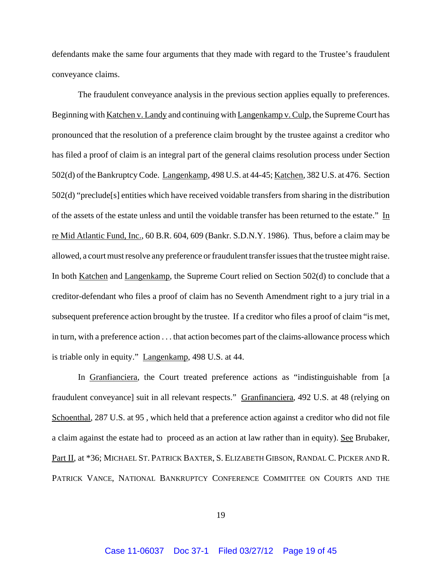defendants make the same four arguments that they made with regard to the Trustee's fraudulent conveyance claims.

The fraudulent conveyance analysis in the previous section applies equally to preferences. Beginning with Katchen v. Landy and continuing with Langenkamp v. Culp, the Supreme Court has pronounced that the resolution of a preference claim brought by the trustee against a creditor who has filed a proof of claim is an integral part of the general claims resolution process under Section 502(d) of the Bankruptcy Code. Langenkamp, 498 U.S. at 44-45; Katchen, 382 U.S. at 476. Section 502(d) "preclude[s] entities which have received voidable transfers from sharing in the distribution of the assets of the estate unless and until the voidable transfer has been returned to the estate." In re Mid Atlantic Fund, Inc., 60 B.R. 604, 609 (Bankr. S.D.N.Y. 1986). Thus, before a claim may be allowed, a court must resolve any preference or fraudulent transfer issues that the trustee might raise. In both <u>Katchen</u> and Langenkamp, the Supreme Court relied on Section 502(d) to conclude that a creditor-defendant who files a proof of claim has no Seventh Amendment right to a jury trial in a subsequent preference action brought by the trustee. If a creditor who files a proof of claim "is met, in turn, with a preference action . . . that action becomes part of the claims-allowance process which is triable only in equity." Langenkamp, 498 U.S. at 44.

In Granfianciera, the Court treated preference actions as "indistinguishable from [a fraudulent conveyance] suit in all relevant respects." Granfinanciera, 492 U.S. at 48 (relying on Schoenthal, 287 U.S. at 95 , which held that a preference action against a creditor who did not file a claim against the estate had to proceed as an action at law rather than in equity). See Brubaker, Part II, at \*36; MICHAEL ST. PATRICK BAXTER, S. ELIZABETH GIBSON, RANDAL C. PICKER AND R. PATRICK VANCE, NATIONAL BANKRUPTCY CONFERENCE COMMITTEE ON COURTS AND THE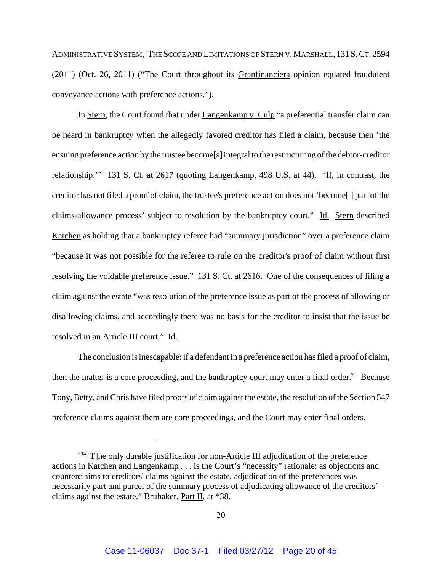ADMINISTRATIVE SYSTEM, THE SCOPE AND LIMITATIONS OF STERN V. MARSHALL, 131 S. CT. 2594 (2011) (Oct. 26, 2011) ("The Court throughout its Granfinanciera opinion equated fraudulent conveyance actions with preference actions.").

In Stern, the Court found that under Langenkamp v. Culp "a preferential transfer claim can be heard in bankruptcy when the allegedly favored creditor has filed a claim, because then 'the ensuing preference action by the trustee become[s] integral to the restructuring of the debtor-creditor relationship.'" 131 S. Ct. at 2617 (quoting Langenkamp, 498 U.S. at 44). "If, in contrast, the creditor has not filed a proof of claim, the trustee's preference action does not 'become[ ] part of the claims-allowance process' subject to resolution by the bankruptcy court." Id. Stern described Katchen as holding that a bankruptcy referee had "summary jurisdiction" over a preference claim "because it was not possible for the referee to rule on the creditor's proof of claim without first resolving the voidable preference issue." 131 S. Ct. at 2616. One of the consequences of filing a claim against the estate "was resolution of the preference issue as part of the process of allowing or disallowing claims, and accordingly there was no basis for the creditor to insist that the issue be resolved in an Article III court." Id.

The conclusion is inescapable: if a defendant in a preference action has filed a proof of claim, then the matter is a core proceeding, and the bankruptcy court may enter a final order.<sup>20</sup> Because Tony, Betty, and Chris have filed proofs of claim against the estate, the resolution of the Section 547 preference claims against them are core proceedings, and the Court may enter final orders.

 $20$ "[T]he only durable justification for non-Article III adjudication of the preference actions in Katchen and Langenkamp . . . is the Court's "necessity" rationale: as objections and counterclaims to creditors' claims against the estate, adjudication of the preferences was necessarily part and parcel of the summary process of adjudicating allowance of the creditors' claims against the estate." Brubaker, Part II, at \*38.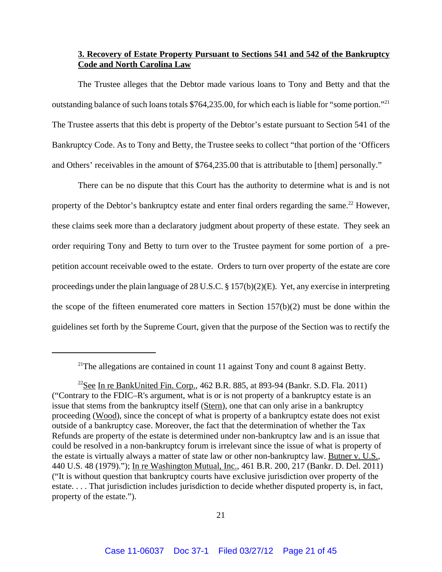## **3. Recovery of Estate Property Pursuant to Sections 541 and 542 of the Bankruptcy Code and North Carolina Law**

The Trustee alleges that the Debtor made various loans to Tony and Betty and that the outstanding balance of such loans totals \$764,235.00, for which each is liable for "some portion."21 The Trustee asserts that this debt is property of the Debtor's estate pursuant to Section 541 of the Bankruptcy Code. As to Tony and Betty, the Trustee seeks to collect "that portion of the 'Officers and Others' receivables in the amount of \$764,235.00 that is attributable to [them] personally."

There can be no dispute that this Court has the authority to determine what is and is not property of the Debtor's bankruptcy estate and enter final orders regarding the same.<sup>22</sup> However, these claims seek more than a declaratory judgment about property of these estate. They seek an order requiring Tony and Betty to turn over to the Trustee payment for some portion of a prepetition account receivable owed to the estate. Orders to turn over property of the estate are core proceedings under the plain language of 28 U.S.C. § 157(b)(2)(E). Yet, any exercise in interpreting the scope of the fifteen enumerated core matters in Section 157(b)(2) must be done within the guidelines set forth by the Supreme Court, given that the purpose of the Section was to rectify the

 $2^{1}$ The allegations are contained in count 11 against Tony and count 8 against Betty.

<sup>&</sup>lt;sup>22</sup>See In re BankUnited Fin. Corp., 462 B.R. 885, at 893-94 (Bankr. S.D. Fla. 2011) ("Contrary to the FDIC–R's argument, what is or is not property of a bankruptcy estate is an issue that stems from the bankruptcy itself (Stern), one that can only arise in a bankruptcy proceeding (Wood), since the concept of what is property of a bankruptcy estate does not exist outside of a bankruptcy case. Moreover, the fact that the determination of whether the Tax Refunds are property of the estate is determined under non-bankruptcy law and is an issue that could be resolved in a non-bankruptcy forum is irrelevant since the issue of what is property of the estate is virtually always a matter of state law or other non-bankruptcy law. Butner v. U.S., 440 U.S. 48 (1979)."); In re Washington Mutual, Inc., 461 B.R. 200, 217 (Bankr. D. Del. 2011) ("It is without question that bankruptcy courts have exclusive jurisdiction over property of the estate. . . . That jurisdiction includes jurisdiction to decide whether disputed property is, in fact, property of the estate.").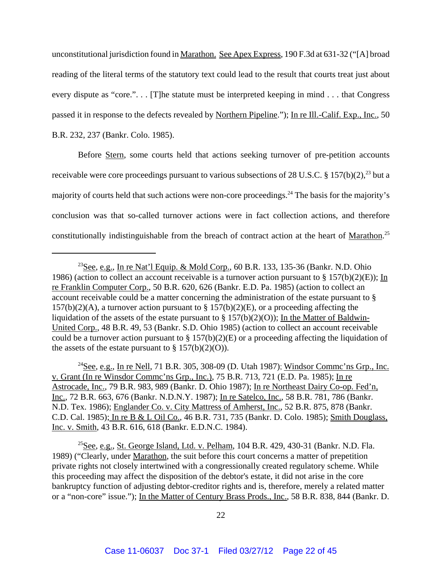unconstitutional jurisdiction found in Marathon. See Apex Express, 190 F.3d at 631-32 ("[A] broad reading of the literal terms of the statutory text could lead to the result that courts treat just about every dispute as "core."... [T]he statute must be interpreted keeping in mind... that Congress passed it in response to the defects revealed by Northern Pipeline."); In re Ill.-Calif. Exp., Inc., 50 B.R. 232, 237 (Bankr. Colo. 1985).

Before Stern, some courts held that actions seeking turnover of pre-petition accounts receivable were core proceedings pursuant to various subsections of 28 U.S.C. § 157(b)(2),<sup>23</sup> but a majority of courts held that such actions were non-core proceedings.<sup>24</sup> The basis for the majority's conclusion was that so-called turnover actions were in fact collection actions, and therefore constitutionally indistinguishable from the breach of contract action at the heart of Marathon.<sup>25</sup>

 $^{24}$ See, e.g., In re Nell, 71 B.R. 305, 308-09 (D. Utah 1987); Windsor Commc'ns Grp., Inc. v. Grant (In re Winsdor Commc'ns Grp., Inc.), 75 B.R. 713, 721 (E.D. Pa. 1985); In re Astrocade, Inc., 79 B.R. 983, 989 (Bankr. D. Ohio 1987); In re Northeast Dairy Co-op. Fed'n, Inc., 72 B.R. 663, 676 (Bankr. N.D.N.Y. 1987); In re Satelco, Inc., 58 B.R. 781, 786 (Bankr. N.D. Tex. 1986); Englander Co. v. City Mattress of Amherst, Inc., 52 B.R. 875, 878 (Bankr. C.D. Cal. 1985); In re B & L Oil Co., 46 B.R. 731, 735 (Bankr. D. Colo. 1985); Smith Douglass, Inc. v. Smith, 43 B.R. 616, 618 (Bankr. E.D.N.C. 1984).

<sup>25</sup>See, e.g., St. George Island, Ltd. v. Pelham, 104 B.R. 429, 430-31 (Bankr. N.D. Fla. 1989) ("Clearly, under Marathon, the suit before this court concerns a matter of prepetition private rights not closely intertwined with a congressionally created regulatory scheme. While this proceeding may affect the disposition of the debtor's estate, it did not arise in the core bankruptcy function of adjusting debtor-creditor rights and is, therefore, merely a related matter or a "non-core" issue."); In the Matter of Century Brass Prods., Inc., 58 B.R. 838, 844 (Bankr. D.

<sup>&</sup>lt;sup>23</sup>See, e.g., In re Nat'l Equip. & Mold Corp., 60 B.R. 133, 135-36 (Bankr. N.D. Ohio 1986) (action to collect an account receivable is a turnover action pursuant to § 157(b)(2)(E)); In re Franklin Computer Corp., 50 B.R. 620, 626 (Bankr. E.D. Pa. 1985) (action to collect an account receivable could be a matter concerning the administration of the estate pursuant to §  $157(b)(2)(A)$ , a turnover action pursuant to §  $157(b)(2)(E)$ , or a proceeding affecting the liquidation of the assets of the estate pursuant to  $\S 157(b)(2)(0)$ ; In the Matter of Baldwin-United Corp., 48 B.R. 49, 53 (Bankr. S.D. Ohio 1985) (action to collect an account receivable could be a turnover action pursuant to  $\S 157(b)(2)(E)$  or a proceeding affecting the liquidation of the assets of the estate pursuant to  $\S 157(b)(2)(O)$ .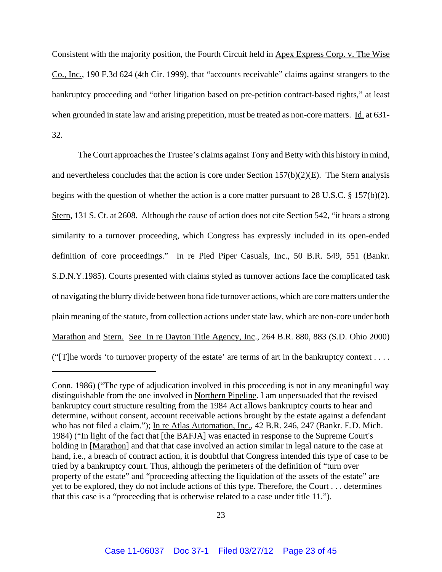Consistent with the majority position, the Fourth Circuit held in Apex Express Corp. v. The Wise Co., Inc., 190 F.3d 624 (4th Cir. 1999), that "accounts receivable" claims against strangers to the bankruptcy proceeding and "other litigation based on pre-petition contract-based rights," at least when grounded in state law and arising prepetition, must be treated as non-core matters. Id. at 631-32.

The Court approaches the Trustee's claims against Tony and Betty with this history in mind, and nevertheless concludes that the action is core under Section  $157(b)(2)(E)$ . The Stern analysis begins with the question of whether the action is a core matter pursuant to 28 U.S.C. § 157(b)(2). Stern, 131 S. Ct. at 2608. Although the cause of action does not cite Section 542, "it bears a strong similarity to a turnover proceeding, which Congress has expressly included in its open-ended definition of core proceedings." In re Pied Piper Casuals, Inc., 50 B.R. 549, 551 (Bankr. S.D.N.Y.1985). Courts presented with claims styled as turnover actions face the complicated task of navigating the blurry divide between bona fide turnover actions, which are core matters under the plain meaning of the statute, from collection actions under state law, which are non-core under both Marathon and Stern. See In re Dayton Title Agency, Inc., 264 B.R. 880, 883 (S.D. Ohio 2000) ("[T]he words 'to turnover property of the estate' are terms of art in the bankruptcy context . . . .

Conn. 1986) ("The type of adjudication involved in this proceeding is not in any meaningful way distinguishable from the one involved in Northern Pipeline. I am unpersuaded that the revised bankruptcy court structure resulting from the 1984 Act allows bankruptcy courts to hear and determine, without consent, account receivable actions brought by the estate against a defendant who has not filed a claim."); In re Atlas Automation, Inc., 42 B.R. 246, 247 (Bankr. E.D. Mich. 1984) ("In light of the fact that [the BAFJA] was enacted in response to the Supreme Court's holding in [Marathon] and that that case involved an action similar in legal nature to the case at hand, i.e., a breach of contract action, it is doubtful that Congress intended this type of case to be tried by a bankruptcy court. Thus, although the perimeters of the definition of "turn over property of the estate" and "proceeding affecting the liquidation of the assets of the estate" are yet to be explored, they do not include actions of this type. Therefore, the Court . . . determines that this case is a "proceeding that is otherwise related to a case under title 11.").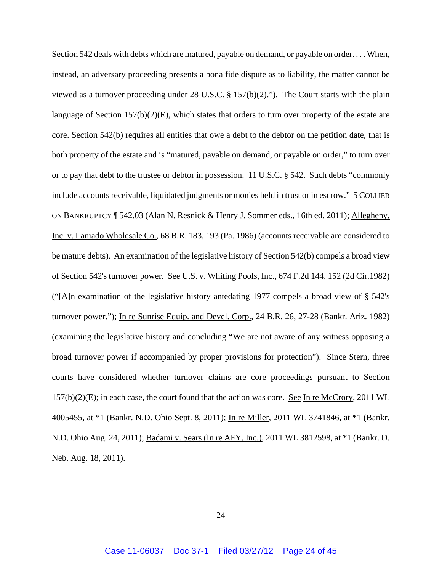Section 542 deals with debts which are matured, payable on demand, or payable on order. . . . When, instead, an adversary proceeding presents a bona fide dispute as to liability, the matter cannot be viewed as a turnover proceeding under 28 U.S.C. § 157(b)(2)."). The Court starts with the plain language of Section 157(b)(2)(E), which states that orders to turn over property of the estate are core. Section 542(b) requires all entities that owe a debt to the debtor on the petition date, that is both property of the estate and is "matured, payable on demand, or payable on order," to turn over or to pay that debt to the trustee or debtor in possession. 11 U.S.C. § 542. Such debts "commonly include accounts receivable, liquidated judgments or monies held in trust or in escrow." 5 COLLIER ON BANKRUPTCY ¶ 542.03 (Alan N. Resnick & Henry J. Sommer eds., 16th ed. 2011); Allegheny, Inc. v. Laniado Wholesale Co., 68 B.R. 183, 193 (Pa. 1986) (accounts receivable are considered to be mature debts). An examination of the legislative history of Section 542(b) compels a broad view of Section 542's turnover power. See U.S. v. Whiting Pools, Inc., 674 F.2d 144, 152 (2d Cir.1982) ("[A]n examination of the legislative history antedating 1977 compels a broad view of § 542's turnover power."); In re Sunrise Equip. and Devel. Corp., 24 B.R. 26, 27-28 (Bankr. Ariz. 1982) (examining the legislative history and concluding "We are not aware of any witness opposing a broad turnover power if accompanied by proper provisions for protection"). Since Stern, three courts have considered whether turnover claims are core proceedings pursuant to Section 157(b)(2)(E); in each case, the court found that the action was core. See In re McCrory, 2011 WL 4005455, at \*1 (Bankr. N.D. Ohio Sept. 8, 2011); In re Miller, 2011 WL 3741846, at \*1 (Bankr. N.D. Ohio Aug. 24, 2011); Badami v. Sears (In re AFY, Inc.), 2011 WL 3812598, at \*1 (Bankr. D. Neb. Aug. 18, 2011).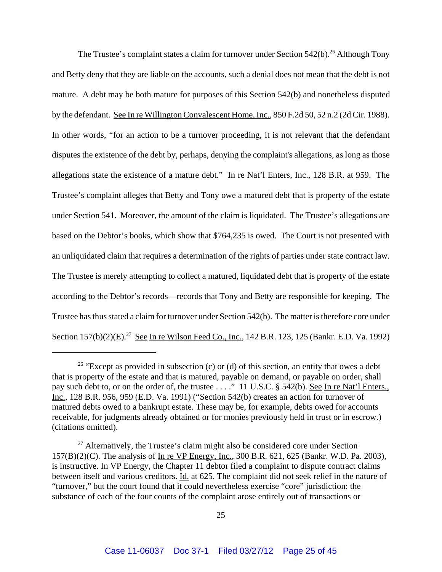The Trustee's complaint states a claim for turnover under Section  $542(b)$ <sup>26</sup> Although Tony and Betty deny that they are liable on the accounts, such a denial does not mean that the debt is not mature. A debt may be both mature for purposes of this Section 542(b) and nonetheless disputed by the defendant. See In re Willington Convalescent Home, Inc., 850 F.2d 50, 52 n.2 (2d Cir. 1988). In other words, "for an action to be a turnover proceeding, it is not relevant that the defendant disputes the existence of the debt by, perhaps, denying the complaint's allegations, as long as those allegations state the existence of a mature debt." In re Nat'l Enters, Inc., 128 B.R. at 959. The Trustee's complaint alleges that Betty and Tony owe a matured debt that is property of the estate under Section 541. Moreover, the amount of the claim is liquidated. The Trustee's allegations are based on the Debtor's books, which show that \$764,235 is owed. The Court is not presented with an unliquidated claim that requires a determination of the rights of parties under state contract law. The Trustee is merely attempting to collect a matured, liquidated debt that is property of the estate according to the Debtor's records—records that Tony and Betty are responsible for keeping. The Trustee has thus stated a claim for turnover under Section 542(b). The matter is therefore core under Section 157(b)(2)(E).<sup>27</sup> See In re Wilson Feed Co., Inc., 142 B.R. 123, 125 (Bankr. E.D. Va. 1992)

<sup>&</sup>lt;sup>26</sup> "Except as provided in subsection (c) or (d) of this section, an entity that owes a debt that is property of the estate and that is matured, payable on demand, or payable on order, shall pay such debt to, or on the order of, the trustee . . . ." 11 U.S.C. § 542(b). See In re Nat'l Enters., Inc., 128 B.R. 956, 959 (E.D. Va. 1991) ("Section 542(b) creates an action for turnover of matured debts owed to a bankrupt estate. These may be, for example, debts owed for accounts receivable, for judgments already obtained or for monies previously held in trust or in escrow.) (citations omitted).

 $27$  Alternatively, the Trustee's claim might also be considered core under Section 157(B)(2)(C). The analysis of In re VP Energy, Inc., 300 B.R. 621, 625 (Bankr. W.D. Pa. 2003), is instructive. In VP Energy, the Chapter 11 debtor filed a complaint to dispute contract claims between itself and various creditors. Id. at 625. The complaint did not seek relief in the nature of "turnover," but the court found that it could nevertheless exercise "core" jurisdiction: the substance of each of the four counts of the complaint arose entirely out of transactions or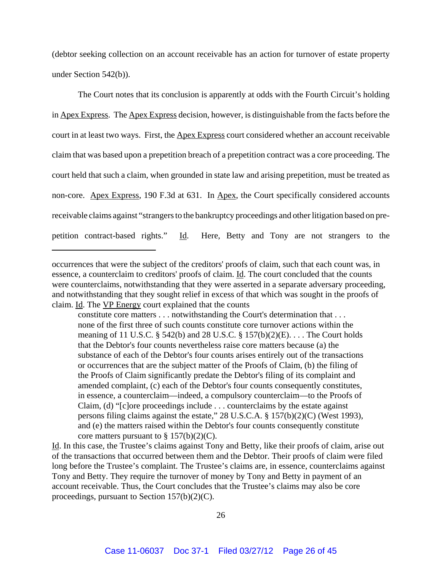(debtor seeking collection on an account receivable has an action for turnover of estate property under Section 542(b)).

The Court notes that its conclusion is apparently at odds with the Fourth Circuit's holding in Apex Express. The Apex Express decision, however, is distinguishable from the facts before the court in at least two ways. First, the Apex Express court considered whether an account receivable claim that was based upon a prepetition breach of a prepetition contract was a core proceeding. The court held that such a claim, when grounded in state law and arising prepetition, must be treated as non-core. Apex Express, 190 F.3d at 631. In Apex, the Court specifically considered accounts receivable claims against "strangers to the bankruptcy proceedings and other litigation based on prepetition contract-based rights." Id. Here, Betty and Tony are not strangers to the

occurrences that were the subject of the creditors' proofs of claim, such that each count was, in essence, a counterclaim to creditors' proofs of claim. Id. The court concluded that the counts were counterclaims, notwithstanding that they were asserted in a separate adversary proceeding, and notwithstanding that they sought relief in excess of that which was sought in the proofs of claim. Id. The VP Energy court explained that the counts

constitute core matters . . . notwithstanding the Court's determination that . . . none of the first three of such counts constitute core turnover actions within the meaning of 11 U.S.C. § 542(b) and 28 U.S.C. § 157(b)(2)(E). . . . The Court holds that the Debtor's four counts nevertheless raise core matters because (a) the substance of each of the Debtor's four counts arises entirely out of the transactions or occurrences that are the subject matter of the Proofs of Claim, (b) the filing of the Proofs of Claim significantly predate the Debtor's filing of its complaint and amended complaint, (c) each of the Debtor's four counts consequently constitutes, in essence, a counterclaim—indeed, a compulsory counterclaim—to the Proofs of Claim, (d) "[c]ore proceedings include . . . counterclaims by the estate against persons filing claims against the estate," 28 U.S.C.A. § 157(b)(2)(C) (West 1993), and (e) the matters raised within the Debtor's four counts consequently constitute core matters pursuant to  $\S 157(b)(2)(C)$ .

Id. In this case, the Trustee's claims against Tony and Betty, like their proofs of claim, arise out of the transactions that occurred between them and the Debtor. Their proofs of claim were filed long before the Trustee's complaint. The Trustee's claims are, in essence, counterclaims against Tony and Betty. They require the turnover of money by Tony and Betty in payment of an account receivable. Thus, the Court concludes that the Trustee's claims may also be core proceedings, pursuant to Section 157(b)(2)(C).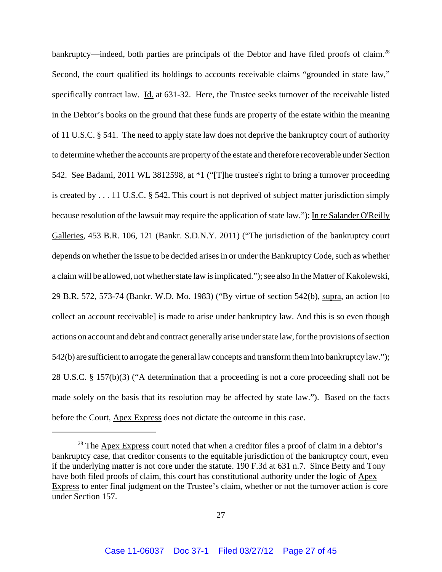bankruptcy—indeed, both parties are principals of the Debtor and have filed proofs of claim.<sup>28</sup> Second, the court qualified its holdings to accounts receivable claims "grounded in state law," specifically contract law. Id. at 631-32. Here, the Trustee seeks turnover of the receivable listed in the Debtor's books on the ground that these funds are property of the estate within the meaning of 11 U.S.C. § 541. The need to apply state law does not deprive the bankruptcy court of authority to determine whether the accounts are property of the estate and therefore recoverable under Section 542. See Badami, 2011 WL 3812598, at \*1 ("[T]he trustee's right to bring a turnover proceeding is created by . . . 11 U.S.C. § 542. This court is not deprived of subject matter jurisdiction simply because resolution of the lawsuit may require the application of state law."); In re Salander O'Reilly Galleries, 453 B.R. 106, 121 (Bankr. S.D.N.Y. 2011) ("The jurisdiction of the bankruptcy court depends on whether the issue to be decided arises in or under the Bankruptcy Code, such as whether a claim will be allowed, not whether state law is implicated."); see also In the Matter of Kakolewski, 29 B.R. 572, 573-74 (Bankr. W.D. Mo. 1983) ("By virtue of section 542(b), supra, an action [to collect an account receivable] is made to arise under bankruptcy law. And this is so even though actions on account and debt and contract generally arise under state law, for the provisions of section 542(b) are sufficient to arrogate the general law concepts and transform them into bankruptcy law."); 28 U.S.C. § 157(b)(3) ("A determination that a proceeding is not a core proceeding shall not be made solely on the basis that its resolution may be affected by state law."). Based on the facts before the Court, Apex Express does not dictate the outcome in this case.

 $28$  The  $\Delta$ pex Express court noted that when a creditor files a proof of claim in a debtor's bankruptcy case, that creditor consents to the equitable jurisdiction of the bankruptcy court, even if the underlying matter is not core under the statute. 190 F.3d at 631 n.7. Since Betty and Tony have both filed proofs of claim, this court has constitutional authority under the logic of Apex Express to enter final judgment on the Trustee's claim, whether or not the turnover action is core under Section 157.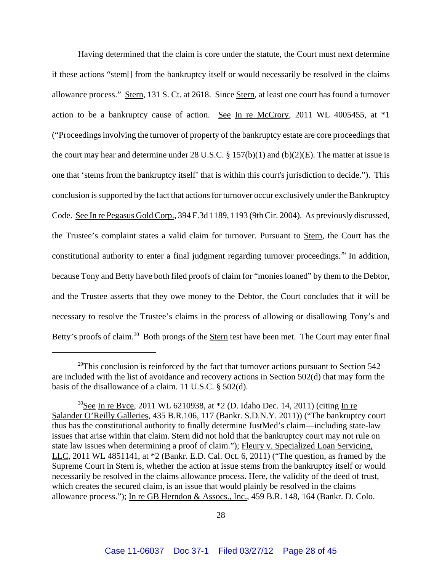Having determined that the claim is core under the statute, the Court must next determine if these actions "stem[] from the bankruptcy itself or would necessarily be resolved in the claims allowance process." Stern, 131 S. Ct. at 2618. Since Stern, at least one court has found a turnover action to be a bankruptcy cause of action. See In re McCrory, 2011 WL 4005455, at  $*1$ ("Proceedings involving the turnover of property of the bankruptcy estate are core proceedings that the court may hear and determine under 28 U.S.C.  $\S 157(b)(1)$  and  $(b)(2)(E)$ . The matter at issue is one that 'stems from the bankruptcy itself' that is within this court's jurisdiction to decide."). This conclusion is supported by the fact that actions for turnover occur exclusively under the Bankruptcy Code. See In re Pegasus Gold Corp., 394 F.3d 1189, 1193 (9th Cir. 2004). As previously discussed, the Trustee's complaint states a valid claim for turnover. Pursuant to Stern, the Court has the constitutional authority to enter a final judgment regarding turnover proceedings.<sup>29</sup> In addition, because Tony and Betty have both filed proofs of claim for "monies loaned" by them to the Debtor, and the Trustee asserts that they owe money to the Debtor, the Court concludes that it will be necessary to resolve the Trustee's claims in the process of allowing or disallowing Tony's and Betty's proofs of claim.<sup>30</sup> Both prongs of the Stern test have been met. The Court may enter final

<sup>&</sup>lt;sup>29</sup>This conclusion is reinforced by the fact that turnover actions pursuant to Section  $542$ are included with the list of avoidance and recovery actions in Section 502(d) that may form the basis of the disallowance of a claim. 11 U.S.C. § 502(d).

<sup>&</sup>lt;sup>30</sup>See In re Byce, 2011 WL 6210938, at  $*2$  (D. Idaho Dec. 14, 2011) (citing In re Salander O'Reilly Galleries, 435 B.R.106, 117 (Bankr. S.D.N.Y. 2011)) ("The bankruptcy court thus has the constitutional authority to finally determine JustMed's claim—including state-law issues that arise within that claim. Stern did not hold that the bankruptcy court may not rule on state law issues when determining a proof of claim."); Fleury v. Specialized Loan Servicing, LLC, 2011 WL 4851141, at \*2 (Bankr. E.D. Cal. Oct. 6, 2011) ("The question, as framed by the Supreme Court in Stern is, whether the action at issue stems from the bankruptcy itself or would necessarily be resolved in the claims allowance process. Here, the validity of the deed of trust, which creates the secured claim, is an issue that would plainly be resolved in the claims allowance process."); In re GB Herndon & Assocs., Inc., 459 B.R. 148, 164 (Bankr. D. Colo.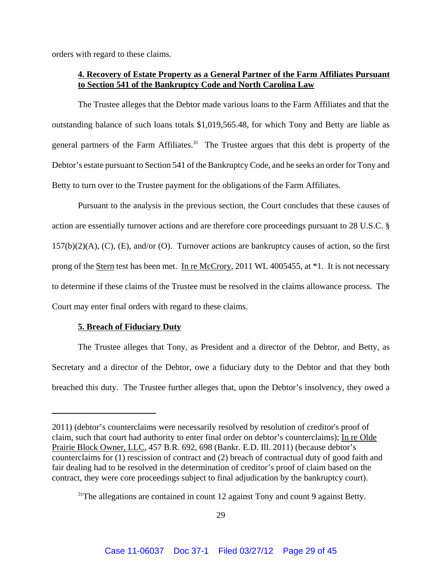orders with regard to these claims.

## **4. Recovery of Estate Property as a General Partner of the Farm Affiliates Pursuant to Section 541 of the Bankruptcy Code and North Carolina Law**

The Trustee alleges that the Debtor made various loans to the Farm Affiliates and that the outstanding balance of such loans totals \$1,019,565.48, for which Tony and Betty are liable as general partners of the Farm Affiliates.<sup>31</sup> The Trustee argues that this debt is property of the Debtor's estate pursuant to Section 541 of the Bankruptcy Code, and he seeks an order for Tony and Betty to turn over to the Trustee payment for the obligations of the Farm Affiliates.

Pursuant to the analysis in the previous section, the Court concludes that these causes of action are essentially turnover actions and are therefore core proceedings pursuant to 28 U.S.C. §  $157(b)(2)(A)$ , (C), (E), and/or (O). Turnover actions are bankruptcy causes of action, so the first prong of the Stern test has been met. In re McCrory, 2011 WL 4005455, at \*1. It is not necessary to determine if these claims of the Trustee must be resolved in the claims allowance process. The Court may enter final orders with regard to these claims.

## **5. Breach of Fiduciary Duty**

The Trustee alleges that Tony, as President and a director of the Debtor, and Betty, as Secretary and a director of the Debtor, owe a fiduciary duty to the Debtor and that they both breached this duty. The Trustee further alleges that, upon the Debtor's insolvency, they owed a

<sup>2011) (</sup>debtor's counterclaims were necessarily resolved by resolution of creditor's proof of claim, such that court had authority to enter final order on debtor's counterclaims); In re Olde Prairie Block Owner, LLC, 457 B.R. 692, 698 (Bankr. E.D. Ill. 2011) (because debtor's counterclaims for (1) rescission of contract and (2) breach of contractual duty of good faith and fair dealing had to be resolved in the determination of creditor's proof of claim based on the contract, they were core proceedings subject to final adjudication by the bankruptcy court).

 $31$ <sup>31</sup>The allegations are contained in count 12 against Tony and count 9 against Betty.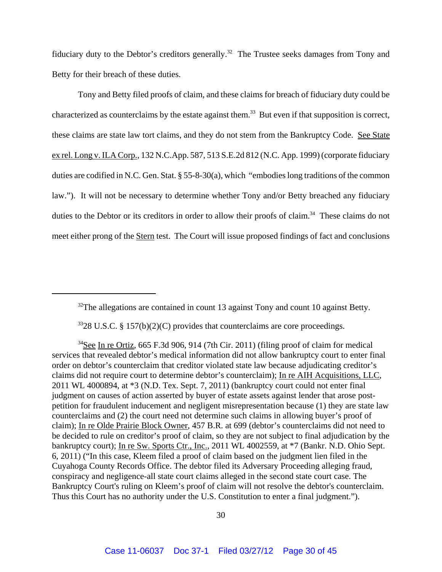fiduciary duty to the Debtor's creditors generally.<sup>32</sup> The Trustee seeks damages from Tony and Betty for their breach of these duties.

Tony and Betty filed proofs of claim, and these claims for breach of fiduciary duty could be characterized as counterclaims by the estate against them.<sup>33</sup> But even if that supposition is correct, these claims are state law tort claims, and they do not stem from the Bankruptcy Code. See State ex rel. Long v. ILA Corp., 132 N.C.App. 587, 513 S.E.2d 812 (N.C. App. 1999) (corporate fiduciary duties are codified in N.C. Gen. Stat. § 55-8-30(a), which "embodies long traditions of the common law."). It will not be necessary to determine whether Tony and/or Betty breached any fiduciary duties to the Debtor or its creditors in order to allow their proofs of claim.<sup>34</sup> These claims do not meet either prong of the Stern test. The Court will issue proposed findings of fact and conclusions

 $32$ The allegations are contained in count 13 against Tony and count 10 against Betty.

 $3328$  U.S.C. § 157(b)(2)(C) provides that counterclaims are core proceedings.

<sup>34</sup>See In re Ortiz, 665 F.3d 906, 914 (7th Cir. 2011) (filing proof of claim for medical services that revealed debtor's medical information did not allow bankruptcy court to enter final order on debtor's counterclaim that creditor violated state law because adjudicating creditor's claims did not require court to determine debtor's counterclaim); In re AIH Acquisitions, LLC, 2011 WL 4000894, at \*3 (N.D. Tex. Sept. 7, 2011) (bankruptcy court could not enter final judgment on causes of action asserted by buyer of estate assets against lender that arose postpetition for fraudulent inducement and negligent misrepresentation because (1) they are state law counterclaims and (2) the court need not determine such claims in allowing buyer's proof of claim); In re Olde Prairie Block Owner, 457 B.R. at 699 (debtor's counterclaims did not need to be decided to rule on creditor's proof of claim, so they are not subject to final adjudication by the bankruptcy court); In re Sw. Sports Ctr., Inc., 2011 WL 4002559, at  $*7$  (Bankr. N.D. Ohio Sept. 6, 2011) ("In this case, Kleem filed a proof of claim based on the judgment lien filed in the Cuyahoga County Records Office. The debtor filed its Adversary Proceeding alleging fraud, conspiracy and negligence-all state court claims alleged in the second state court case. The Bankruptcy Court's ruling on Kleem's proof of claim will not resolve the debtor's counterclaim. Thus this Court has no authority under the U.S. Constitution to enter a final judgment.").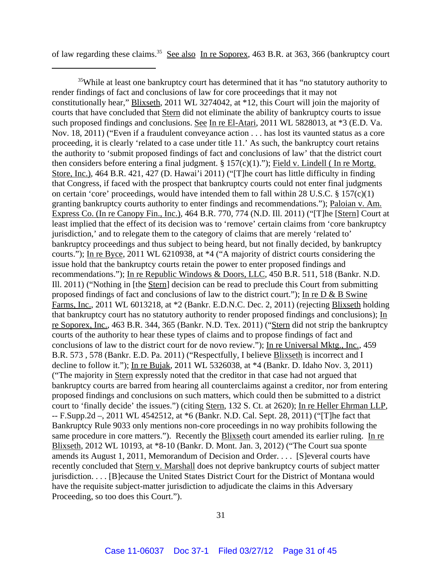of law regarding these claims.<sup>35</sup> See also In re Soporex, 463 B.R. at 363, 366 (bankruptcy court

<sup>35</sup>While at least one bankruptcy court has determined that it has "no statutory authority to render findings of fact and conclusions of law for core proceedings that it may not constitutionally hear," Blixseth, 2011 WL 3274042, at \*12, this Court will join the majority of courts that have concluded that Stern did not eliminate the ability of bankruptcy courts to issue such proposed findings and conclusions. See In re El-Atari, 2011 WL 5828013, at \*3 (E.D. Va. Nov. 18, 2011) ("Even if a fraudulent conveyance action . . . has lost its vaunted status as a core proceeding, it is clearly 'related to a case under title 11.' As such, the bankruptcy court retains the authority to 'submit proposed findings of fact and conclusions of law' that the district court then considers before entering a final judgment.  $\S 157(c)(1)$ ."); Field v. Lindell (In re Mortg. Store, Inc.), 464 B.R. 421, 427 (D. Hawai'i 2011) ("[T]he court has little difficulty in finding that Congress, if faced with the prospect that bankruptcy courts could not enter final judgments on certain 'core' proceedings, would have intended them to fall within 28 U.S.C.  $\S 157(c)(1)$ granting bankruptcy courts authority to enter findings and recommendations."); Paloian v. Am. Express Co. (In re Canopy Fin., Inc.), 464 B.R. 770, 774 (N.D. Ill. 2011) ("[T]he [Stern] Court at least implied that the effect of its decision was to 'remove' certain claims from 'core bankruptcy jurisdiction,' and to relegate them to the category of claims that are merely 'related to' bankruptcy proceedings and thus subject to being heard, but not finally decided, by bankruptcy courts."); In re Byce, 2011 WL 6210938, at \*4 ("A majority of district courts considering the issue hold that the bankruptcy courts retain the power to enter proposed findings and recommendations."); In re Republic Windows & Doors, LLC, 450 B.R. 511, 518 (Bankr. N.D. Ill. 2011) ("Nothing in [the Stern] decision can be read to preclude this Court from submitting proposed findings of fact and conclusions of law to the district court."); In re D & B Swine Farms, Inc., 2011 WL 6013218, at \*2 (Bankr. E.D.N.C. Dec. 2, 2011) (rejecting Blixseth holding that bankruptcy court has no statutory authority to render proposed findings and conclusions); In re Soporex, Inc., 463 B.R. 344, 365 (Bankr. N.D. Tex. 2011) ("Stern did not strip the bankruptcy courts of the authority to hear these types of claims and to propose findings of fact and conclusions of law to the district court for de novo review."); In re Universal Mktg., Inc., 459 B.R. 573, 578 (Bankr. E.D. Pa. 2011) ("Respectfully, I believe **Blixseth** is incorrect and I decline to follow it."); In re Bujak, 2011 WL 5326038, at \*4 (Bankr. D. Idaho Nov. 3, 2011) ("The majority in Stern expressly noted that the creditor in that case had not argued that bankruptcy courts are barred from hearing all counterclaims against a creditor, nor from entering proposed findings and conclusions on such matters, which could then be submitted to a district court to 'finally decide' the issues.") (citing Stern, 132 S. Ct. at 2620); In re Heller Ehrman LLP, -- F.Supp.2d –, 2011 WL 4542512, at \*6 (Bankr. N.D. Cal. Sept. 28, 2011) ("[T]he fact that Bankruptcy Rule 9033 only mentions non-core proceedings in no way prohibits following the same procedure in core matters."). Recently the **Blixseth** court amended its earlier ruling. In re Blixseth, 2012 WL 10193, at \*8-10 (Bankr. D. Mont. Jan. 3, 2012) ("The Court sua sponte amends its August 1, 2011, Memorandum of Decision and Order. . . . [S]everal courts have recently concluded that Stern v. Marshall does not deprive bankruptcy courts of subject matter jurisdiction. . . . [B]ecause the United States District Court for the District of Montana would have the requisite subject-matter jurisdiction to adjudicate the claims in this Adversary Proceeding, so too does this Court.").

31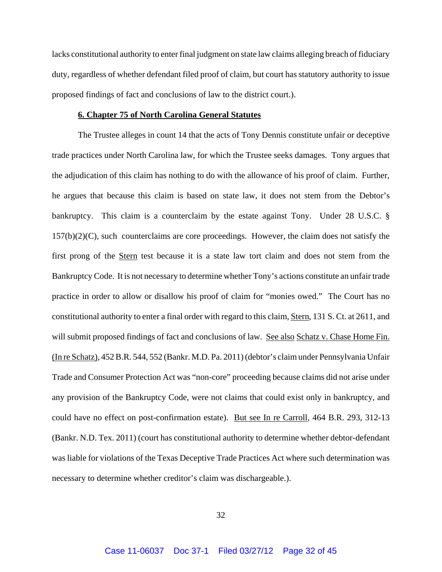lacks constitutional authority to enter final judgment on state law claims alleging breach of fiduciary duty, regardless of whether defendant filed proof of claim, but court has statutory authority to issue proposed findings of fact and conclusions of law to the district court.).

#### **6. Chapter 75 of North Carolina General Statutes**

The Trustee alleges in count 14 that the acts of Tony Dennis constitute unfair or deceptive trade practices under North Carolina law, for which the Trustee seeks damages. Tony argues that the adjudication of this claim has nothing to do with the allowance of his proof of claim. Further, he argues that because this claim is based on state law, it does not stem from the Debtor's bankruptcy. This claim is a counterclaim by the estate against Tony. Under 28 U.S.C. §  $157(b)(2)(C)$ , such counterclaims are core proceedings. However, the claim does not satisfy the first prong of the Stern test because it is a state law tort claim and does not stem from the Bankruptcy Code. It is not necessary to determine whether Tony's actions constitute an unfair trade practice in order to allow or disallow his proof of claim for "monies owed." The Court has no constitutional authority to enter a final order with regard to this claim, Stern, 131 S. Ct. at 2611, and will submit proposed findings of fact and conclusions of law. See also Schatz v. Chase Home Fin. (In re Schatz), 452 B.R. 544, 552 (Bankr. M.D. Pa. 2011) (debtor's claim under Pennsylvania Unfair Trade and Consumer Protection Act was "non-core" proceeding because claims did not arise under any provision of the Bankruptcy Code, were not claims that could exist only in bankruptcy, and could have no effect on post-confirmation estate). But see In re Carroll, 464 B.R. 293, 312-13 (Bankr. N.D. Tex. 2011) (court has constitutional authority to determine whether debtor-defendant was liable for violations of the Texas Deceptive Trade Practices Act where such determination was necessary to determine whether creditor's claim was dischargeable.).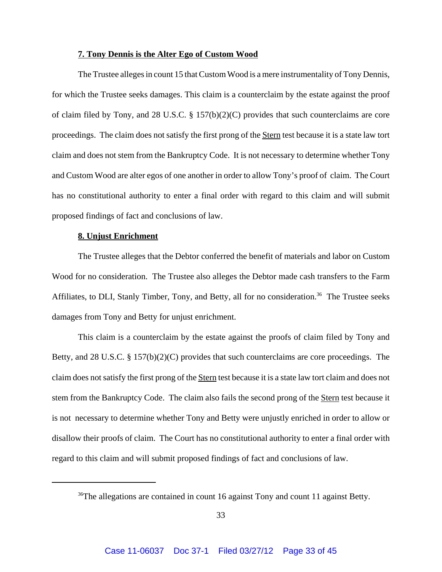### **7. Tony Dennis is the Alter Ego of Custom Wood**

The Trustee alleges in count 15 that Custom Wood is a mere instrumentality of Tony Dennis, for which the Trustee seeks damages. This claim is a counterclaim by the estate against the proof of claim filed by Tony, and 28 U.S.C. § 157(b)(2)(C) provides that such counterclaims are core proceedings. The claim does not satisfy the first prong of the Stern test because it is a state law tort claim and does not stem from the Bankruptcy Code. It is not necessary to determine whether Tony and Custom Wood are alter egos of one another in order to allow Tony's proof of claim. The Court has no constitutional authority to enter a final order with regard to this claim and will submit proposed findings of fact and conclusions of law.

### **8. Unjust Enrichment**

The Trustee alleges that the Debtor conferred the benefit of materials and labor on Custom Wood for no consideration. The Trustee also alleges the Debtor made cash transfers to the Farm Affiliates, to DLI, Stanly Timber, Tony, and Betty, all for no consideration.<sup>36</sup> The Trustee seeks damages from Tony and Betty for unjust enrichment.

This claim is a counterclaim by the estate against the proofs of claim filed by Tony and Betty, and 28 U.S.C. § 157(b)(2)(C) provides that such counterclaims are core proceedings. The claim does not satisfy the first prong of the Stern test because it is a state law tort claim and does not stem from the Bankruptcy Code. The claim also fails the second prong of the Stern test because it is not necessary to determine whether Tony and Betty were unjustly enriched in order to allow or disallow their proofs of claim. The Court has no constitutional authority to enter a final order with regard to this claim and will submit proposed findings of fact and conclusions of law.

<sup>&</sup>lt;sup>36</sup>The allegations are contained in count 16 against Tony and count 11 against Betty.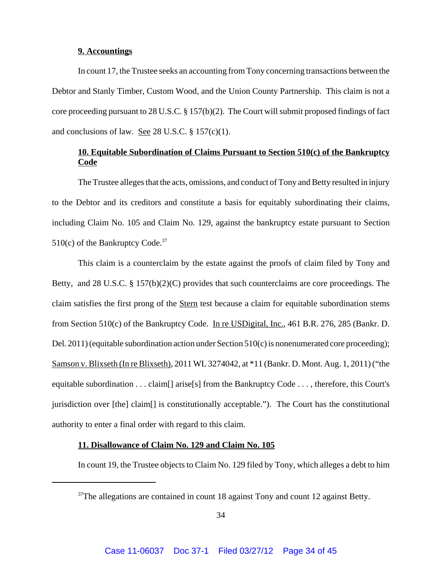### **9. Accountings**

In count 17, the Trustee seeks an accounting from Tony concerning transactions between the Debtor and Stanly Timber, Custom Wood, and the Union County Partnership. This claim is not a core proceeding pursuant to 28 U.S.C. § 157(b)(2). The Court will submit proposed findings of fact and conclusions of law. See 28 U.S.C.  $\S 157(c)(1)$ .

## **10. Equitable Subordination of Claims Pursuant to Section 510(c) of the Bankruptcy Code**

The Trustee alleges that the acts, omissions, and conduct of Tony and Betty resulted in injury to the Debtor and its creditors and constitute a basis for equitably subordinating their claims, including Claim No. 105 and Claim No. 129, against the bankruptcy estate pursuant to Section  $510(c)$  of the Bankruptcy Code.<sup>37</sup>

This claim is a counterclaim by the estate against the proofs of claim filed by Tony and Betty, and 28 U.S.C. § 157(b)(2)(C) provides that such counterclaims are core proceedings. The claim satisfies the first prong of the Stern test because a claim for equitable subordination stems from Section 510(c) of the Bankruptcy Code. In re USDigital, Inc., 461 B.R. 276, 285 (Bankr. D. Del. 2011) (equitable subordination action under Section 510(c) is nonenumerated core proceeding); Samson v. Blixseth (In re Blixseth), 2011 WL 3274042, at \*11 (Bankr. D. Mont. Aug. 1, 2011) ("the equitable subordination . . . claim[] arise[s] from the Bankruptcy Code . . . , therefore, this Court's jurisdiction over [the] claim[] is constitutionally acceptable."). The Court has the constitutional authority to enter a final order with regard to this claim.

## **11. Disallowance of Claim No. 129 and Claim No. 105**

In count 19, the Trustee objects to Claim No. 129 filed by Tony, which alleges a debt to him

 $37$ The allegations are contained in count 18 against Tony and count 12 against Betty.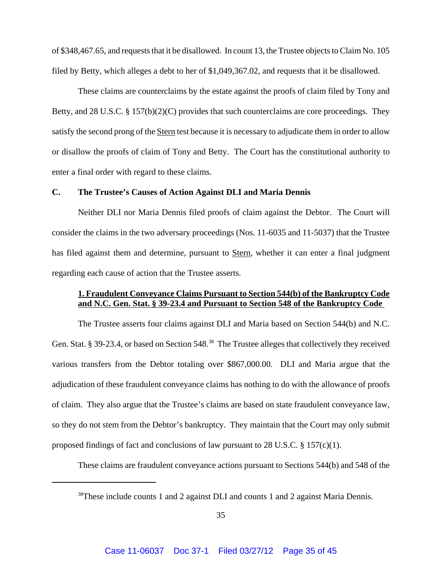of \$348,467.65, and requests that it be disallowed. In count 13, the Trustee objects to Claim No. 105 filed by Betty, which alleges a debt to her of \$1,049,367.02, and requests that it be disallowed.

These claims are counterclaims by the estate against the proofs of claim filed by Tony and Betty, and 28 U.S.C. § 157(b)(2)(C) provides that such counterclaims are core proceedings. They satisfy the second prong of the Stern test because it is necessary to adjudicate them in order to allow or disallow the proofs of claim of Tony and Betty. The Court has the constitutional authority to enter a final order with regard to these claims.

### **C. The Trustee's Causes of Action Against DLI and Maria Dennis**

Neither DLI nor Maria Dennis filed proofs of claim against the Debtor. The Court will consider the claims in the two adversary proceedings (Nos. 11-6035 and 11-5037) that the Trustee has filed against them and determine, pursuant to Stern, whether it can enter a final judgment regarding each cause of action that the Trustee asserts.

## **1. Fraudulent Conveyance Claims Pursuant to Section 544(b) of the Bankruptcy Code and N.C. Gen. Stat. § 39-23.4 and Pursuant to Section 548 of the Bankruptcy Code**

The Trustee asserts four claims against DLI and Maria based on Section 544(b) and N.C. Gen. Stat. § 39-23.4, or based on Section 548.<sup>38</sup> The Trustee alleges that collectively they received various transfers from the Debtor totaling over \$867,000.00. DLI and Maria argue that the adjudication of these fraudulent conveyance claims has nothing to do with the allowance of proofs of claim. They also argue that the Trustee's claims are based on state fraudulent conveyance law, so they do not stem from the Debtor's bankruptcy. They maintain that the Court may only submit proposed findings of fact and conclusions of law pursuant to 28 U.S.C.  $\S$  157(c)(1).

These claims are fraudulent conveyance actions pursuant to Sections 544(b) and 548 of the

<sup>&</sup>lt;sup>38</sup>These include counts 1 and 2 against DLI and counts 1 and 2 against Maria Dennis.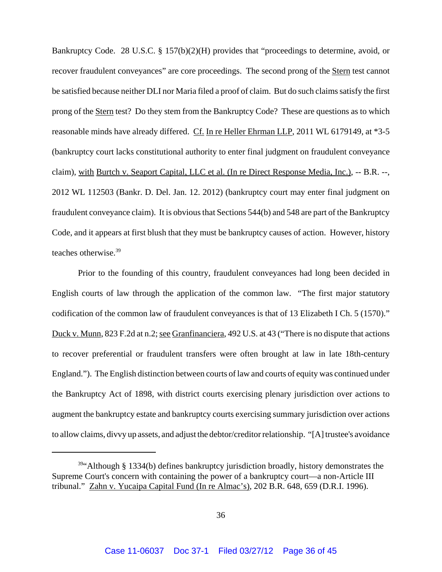Bankruptcy Code. 28 U.S.C. § 157(b)(2)(H) provides that "proceedings to determine, avoid, or recover fraudulent conveyances" are core proceedings. The second prong of the Stern test cannot be satisfied because neither DLI nor Maria filed a proof of claim. But do such claims satisfy the first prong of the Stern test? Do they stem from the Bankruptcy Code? These are questions as to which reasonable minds have already differed. Cf. In re Heller Ehrman LLP, 2011 WL 6179149, at \*3-5 (bankruptcy court lacks constitutional authority to enter final judgment on fraudulent conveyance claim), with Burtch v. Seaport Capital, LLC et al. (In re Direct Response Media, Inc.), -- B.R. --, 2012 WL 112503 (Bankr. D. Del. Jan. 12. 2012) (bankruptcy court may enter final judgment on fraudulent conveyance claim). It is obvious that Sections 544(b) and 548 are part of the Bankruptcy Code, and it appears at first blush that they must be bankruptcy causes of action. However, history teaches otherwise.<sup>39</sup>

Prior to the founding of this country, fraudulent conveyances had long been decided in English courts of law through the application of the common law. "The first major statutory codification of the common law of fraudulent conveyances is that of 13 Elizabeth I Ch. 5 (1570)." Duck v. Munn, 823 F.2d at n.2; see Granfinanciera, 492 U.S. at 43 ("There is no dispute that actions to recover preferential or fraudulent transfers were often brought at law in late 18th-century England."). The English distinction between courts of law and courts of equity was continued under the Bankruptcy Act of 1898, with district courts exercising plenary jurisdiction over actions to augment the bankruptcy estate and bankruptcy courts exercising summary jurisdiction over actions to allow claims, divvy up assets, and adjust the debtor/creditor relationship. "[A] trustee's avoidance

 $39$ "Although § 1334(b) defines bankruptcy jurisdiction broadly, history demonstrates the Supreme Court's concern with containing the power of a bankruptcy court—a non-Article III tribunal." Zahn v. Yucaipa Capital Fund (In re Almac's), 202 B.R. 648, 659 (D.R.I. 1996).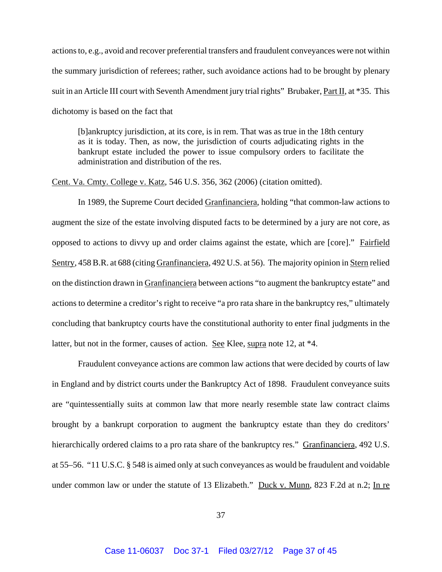actions to, e.g., avoid and recover preferential transfers and fraudulent conveyances were not within the summary jurisdiction of referees; rather, such avoidance actions had to be brought by plenary suit in an Article III court with Seventh Amendment jury trial rights" Brubaker, Part II, at \*35. This dichotomy is based on the fact that

[b]ankruptcy jurisdiction, at its core, is in rem. That was as true in the 18th century as it is today. Then, as now, the jurisdiction of courts adjudicating rights in the bankrupt estate included the power to issue compulsory orders to facilitate the administration and distribution of the res.

Cent. Va. Cmty. College v. Katz, 546 U.S. 356, 362 (2006) (citation omitted).

In 1989, the Supreme Court decided Granfinanciera, holding "that common-law actions to augment the size of the estate involving disputed facts to be determined by a jury are not core, as opposed to actions to divvy up and order claims against the estate, which are [core]." Fairfield Sentry, 458 B.R. at 688 (citing Granfinanciera, 492 U.S. at 56). The majority opinion in Stern relied on the distinction drawn in Granfinanciera between actions "to augment the bankruptcy estate" and actions to determine a creditor's right to receive "a pro rata share in the bankruptcy res," ultimately concluding that bankruptcy courts have the constitutional authority to enter final judgments in the latter, but not in the former, causes of action. See Klee, supra note 12, at \*4.

Fraudulent conveyance actions are common law actions that were decided by courts of law in England and by district courts under the Bankruptcy Act of 1898. Fraudulent conveyance suits are "quintessentially suits at common law that more nearly resemble state law contract claims brought by a bankrupt corporation to augment the bankruptcy estate than they do creditors' hierarchically ordered claims to a pro rata share of the bankruptcy res." Granfinanciera, 492 U.S. at 55–56. "11 U.S.C. § 548 is aimed only at such conveyances as would be fraudulent and voidable under common law or under the statute of 13 Elizabeth." Duck v. Munn, 823 F.2d at n.2; In re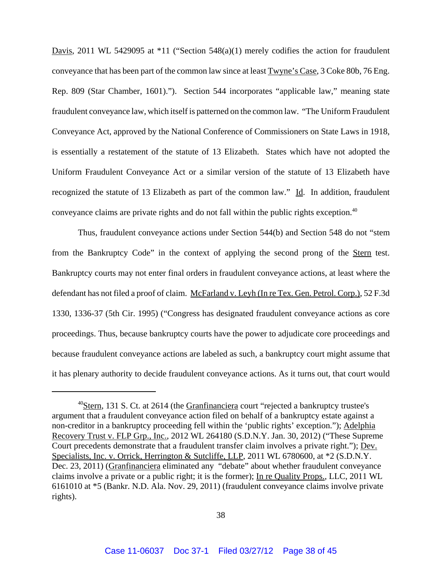Davis, 2011 WL 5429095 at \*11 ("Section 548(a)(1) merely codifies the action for fraudulent conveyance that has been part of the common law since at least Twyne's Case, 3 Coke 80b, 76 Eng. Rep. 809 (Star Chamber, 1601)."). Section 544 incorporates "applicable law," meaning state fraudulent conveyance law, which itself is patterned on the common law. "The Uniform Fraudulent Conveyance Act, approved by the National Conference of Commissioners on State Laws in 1918, is essentially a restatement of the statute of 13 Elizabeth. States which have not adopted the Uniform Fraudulent Conveyance Act or a similar version of the statute of 13 Elizabeth have recognized the statute of 13 Elizabeth as part of the common law." Id. In addition, fraudulent conveyance claims are private rights and do not fall within the public rights exception.<sup>40</sup>

Thus, fraudulent conveyance actions under Section 544(b) and Section 548 do not "stem from the Bankruptcy Code" in the context of applying the second prong of the Stern test. Bankruptcy courts may not enter final orders in fraudulent conveyance actions, at least where the defendant has not filed a proof of claim. McFarland v. Leyh (In re Tex. Gen. Petrol. Corp.), 52 F.3d 1330, 1336-37 (5th Cir. 1995) ("Congress has designated fraudulent conveyance actions as core proceedings. Thus, because bankruptcy courts have the power to adjudicate core proceedings and because fraudulent conveyance actions are labeled as such, a bankruptcy court might assume that it has plenary authority to decide fraudulent conveyance actions. As it turns out, that court would

 $^{40}$ Stern, 131 S. Ct. at 2614 (the Granfinanciera court "rejected a bankruptcy trustee's argument that a fraudulent conveyance action filed on behalf of a bankruptcy estate against a non-creditor in a bankruptcy proceeding fell within the 'public rights' exception."); Adelphia Recovery Trust v. FLP Grp., Inc., 2012 WL 264180 (S.D.N.Y. Jan. 30, 2012) ("These Supreme Court precedents demonstrate that a fraudulent transfer claim involves a private right."); Dev. Specialists, Inc. v. Orrick, Herrington & Sutcliffe, LLP, 2011 WL 6780600, at  $*2$  (S.D.N.Y. Dec. 23, 2011) (Granfinanciera eliminated any "debate" about whether fraudulent conveyance claims involve a private or a public right; it is the former); In re Quality Props., LLC, 2011 WL 6161010 at \*5 (Bankr. N.D. Ala. Nov. 29, 2011) (fraudulent conveyance claims involve private rights).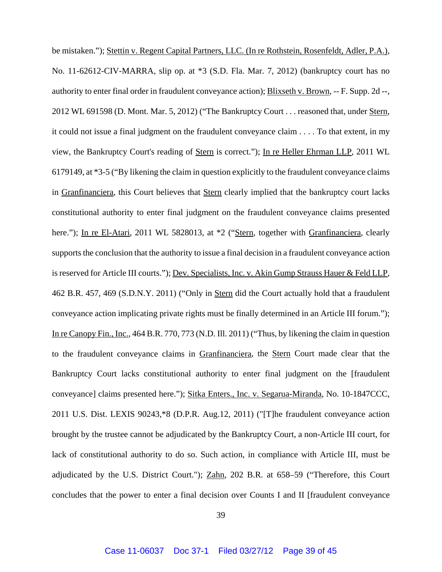be mistaken."); Stettin v. Regent Capital Partners, LLC. (In re Rothstein, Rosenfeldt, Adler, P.A.), No. 11-62612-CIV-MARRA, slip op. at \*3 (S.D. Fla. Mar. 7, 2012) (bankruptcy court has no authority to enter final order in fraudulent conveyance action); Blixseth v. Brown, -- F. Supp. 2d --, 2012 WL 691598 (D. Mont. Mar. 5, 2012) ("The Bankruptcy Court . . . reasoned that, under Stern, it could not issue a final judgment on the fraudulent conveyance claim . . . . To that extent, in my view, the Bankruptcy Court's reading of Stern is correct."); In re Heller Ehrman LLP, 2011 WL 6179149, at \*3-5 ("By likening the claim in question explicitly to the fraudulent conveyance claims in Granfinanciera, this Court believes that Stern clearly implied that the bankruptcy court lacks constitutional authority to enter final judgment on the fraudulent conveyance claims presented here."); In re El-Atari, 2011 WL 5828013, at  $*2$  ("Stern, together with Granfinanciera, clearly supports the conclusion that the authority to issue a final decision in a fraudulent conveyance action is reserved for Article III courts."); Dev. Specialists, Inc. v. Akin Gump Strauss Hauer & Feld LLP, 462 B.R. 457, 469 (S.D.N.Y. 2011) ("Only in Stern did the Court actually hold that a fraudulent conveyance action implicating private rights must be finally determined in an Article III forum."); In re Canopy Fin., Inc., 464 B.R. 770, 773 (N.D. Ill. 2011) ("Thus, by likening the claim in question to the fraudulent conveyance claims in Granfinanciera, the Stern Court made clear that the Bankruptcy Court lacks constitutional authority to enter final judgment on the [fraudulent conveyance] claims presented here."); Sitka Enters., Inc. v. Segarua-Miranda, No. 10-1847CCC, 2011 U.S. Dist. LEXIS 90243,\*8 (D.P.R. Aug.12, 2011) ("[T]he fraudulent conveyance action brought by the trustee cannot be adjudicated by the Bankruptcy Court, a non-Article III court, for lack of constitutional authority to do so. Such action, in compliance with Article III, must be adjudicated by the U.S. District Court."); Zahn, 202 B.R. at 658–59 ("Therefore, this Court concludes that the power to enter a final decision over Counts I and II [fraudulent conveyance

39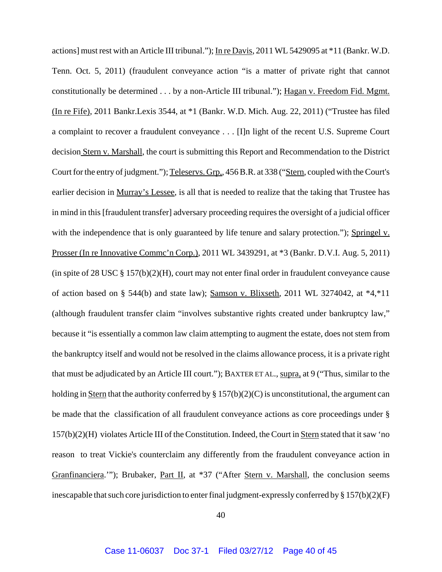actions] must rest with an Article III tribunal."); In re Davis, 2011 WL 5429095 at \*11 (Bankr. W.D. Tenn. Oct. 5, 2011) (fraudulent conveyance action "is a matter of private right that cannot constitutionally be determined . . . by a non-Article III tribunal."); Hagan v. Freedom Fid. Mgmt. (In re Fife), 2011 Bankr.Lexis 3544, at \*1 (Bankr. W.D. Mich. Aug. 22, 2011) ("Trustee has filed a complaint to recover a fraudulent conveyance . . . [I]n light of the recent U.S. Supreme Court decision Stern v. Marshall, the court is submitting this Report and Recommendation to the District Court for the entry of judgment."); Teleservs. Grp,, 456 B.R. at 338 ("Stern, coupled with the Court's earlier decision in Murray's Lessee, is all that is needed to realize that the taking that Trustee has in mind in this [fraudulent transfer] adversary proceeding requires the oversight of a judicial officer with the independence that is only guaranteed by life tenure and salary protection."); Springel v. Prosser (In re Innovative Commc'n Corp.), 2011 WL 3439291, at \*3 (Bankr. D.V.I. Aug. 5, 2011) (in spite of 28 USC § 157(b)(2)(H), court may not enter final order in fraudulent conveyance cause of action based on § 544(b) and state law); Samson v. Blixseth, 2011 WL 3274042, at \*4,\*11 (although fraudulent transfer claim "involves substantive rights created under bankruptcy law," because it "is essentially a common law claim attempting to augment the estate, does not stem from the bankruptcy itself and would not be resolved in the claims allowance process, it is a private right that must be adjudicated by an Article III court."); BAXTER ET AL., supra, at 9 ("Thus, similar to the holding in Stern that the authority conferred by  $\S 157(b)(2)(C)$  is unconstitutional, the argument can be made that the classification of all fraudulent conveyance actions as core proceedings under § 157(b)(2)(H) violates Article III of the Constitution. Indeed, the Court in Stern stated that it saw 'no reason to treat Vickie's counterclaim any differently from the fraudulent conveyance action in Granfinanciera.""); Brubaker, Part II, at \*37 ("After Stern v. Marshall, the conclusion seems inescapable that such core jurisdiction to enter final judgment-expressly conferred by § 157(b)(2)(F)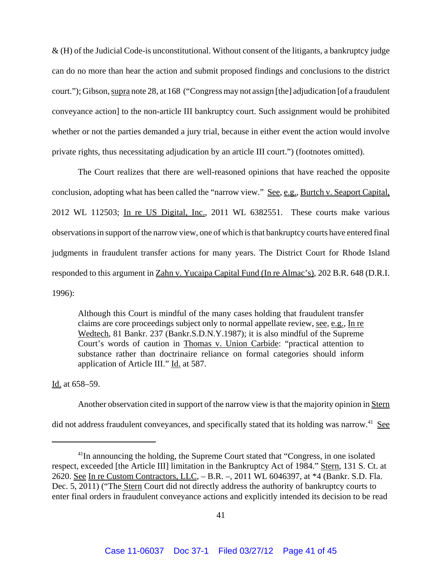& (H) of the Judicial Code-is unconstitutional. Without consent of the litigants, a bankruptcy judge can do no more than hear the action and submit proposed findings and conclusions to the district court."); Gibson, supra note 28, at 168 ("Congress may not assign [the] adjudication [of a fraudulent conveyance action] to the non-article III bankruptcy court. Such assignment would be prohibited whether or not the parties demanded a jury trial, because in either event the action would involve private rights, thus necessitating adjudication by an article III court.") (footnotes omitted).

The Court realizes that there are well-reasoned opinions that have reached the opposite conclusion, adopting what has been called the "narrow view." See, e.g., Burtch v. Seaport Capital, 2012 WL 112503; In re US Digital, Inc., 2011 WL 6382551. These courts make various observations in support of the narrow view, one of which is that bankruptcy courts have entered final judgments in fraudulent transfer actions for many years. The District Court for Rhode Island responded to this argument in Zahn v. Yucaipa Capital Fund (In re Almac's), 202 B.R. 648 (D.R.I. 1996):

Although this Court is mindful of the many cases holding that fraudulent transfer claims are core proceedings subject only to normal appellate review, see, e.g., In re Wedtech, 81 Bankr. 237 (Bankr.S.D.N.Y.1987); it is also mindful of the Supreme Court's words of caution in Thomas v. Union Carbide: "practical attention to substance rather than doctrinaire reliance on formal categories should inform application of Article III." Id. at 587.

Id. at 658–59.

Another observation cited in support of the narrow view is that the majority opinion in Stern did not address fraudulent conveyances, and specifically stated that its holding was narrow.<sup>41</sup> See

<sup>&</sup>lt;sup>41</sup>In announcing the holding, the Supreme Court stated that "Congress, in one isolated respect, exceeded [the Article III] limitation in the Bankruptcy Act of 1984." Stern, 131 S. Ct. at 2620. See In re Custom Contractors, LLC, – B.R. –, 2011 WL 6046397, at \*4 (Bankr. S.D. Fla. Dec. 5, 2011) ("The Stern Court did not directly address the authority of bankruptcy courts to enter final orders in fraudulent conveyance actions and explicitly intended its decision to be read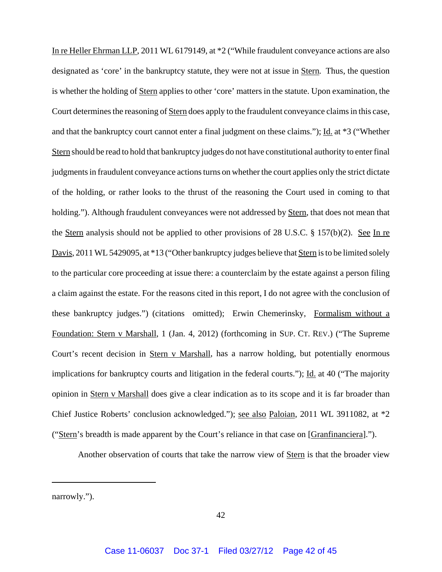In re Heller Ehrman LLP, 2011 WL 6179149, at \*2 ("While fraudulent conveyance actions are also designated as 'core' in the bankruptcy statute, they were not at issue in Stern. Thus, the question is whether the holding of Stern applies to other 'core' matters in the statute. Upon examination, the Court determines the reasoning of Stern does apply to the fraudulent conveyance claims in this case, and that the bankruptcy court cannot enter a final judgment on these claims."); Id. at \*3 ("Whether Stern should be read to hold that bankruptcy judges do not have constitutional authority to enter final judgments in fraudulent conveyance actions turns on whether the court applies only the strict dictate of the holding, or rather looks to the thrust of the reasoning the Court used in coming to that holding."). Although fraudulent conveyances were not addressed by Stern, that does not mean that the Stern analysis should not be applied to other provisions of 28 U.S.C. § 157(b)(2). See In re Davis, 2011 WL 5429095, at \*13 ("Other bankruptcy judges believe that Stern is to be limited solely to the particular core proceeding at issue there: a counterclaim by the estate against a person filing a claim against the estate. For the reasons cited in this report, I do not agree with the conclusion of these bankruptcy judges.") (citations omitted); Erwin Chemerinsky, Formalism without a Foundation: Stern v Marshall, 1 (Jan. 4, 2012) (forthcoming in SUP. CT. REV.) ("The Supreme Court's recent decision in Stern v Marshall, has a narrow holding, but potentially enormous implications for bankruptcy courts and litigation in the federal courts."); Id. at 40 ("The majority opinion in Stern v Marshall does give a clear indication as to its scope and it is far broader than Chief Justice Roberts' conclusion acknowledged."); see also Paloian, 2011 WL 3911082, at \*2 ("Stern's breadth is made apparent by the Court's reliance in that case on [Granfinanciera].").

Another observation of courts that take the narrow view of Stern is that the broader view

narrowly.").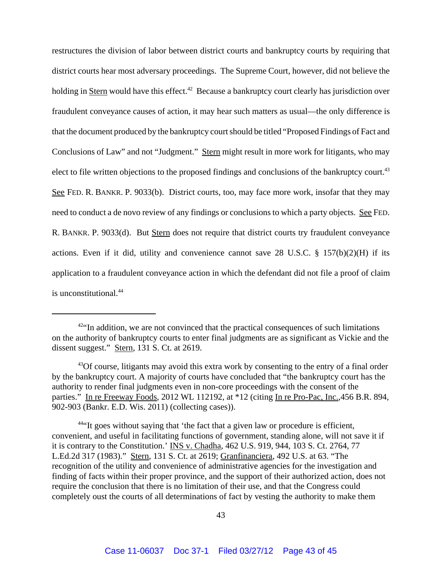restructures the division of labor between district courts and bankruptcy courts by requiring that district courts hear most adversary proceedings. The Supreme Court, however, did not believe the holding in Stern would have this effect.<sup>42</sup> Because a bankruptcy court clearly has jurisdiction over fraudulent conveyance causes of action, it may hear such matters as usual—the only difference is that the document produced by the bankruptcy court should be titled "Proposed Findings of Fact and Conclusions of Law" and not "Judgment." Stern might result in more work for litigants, who may elect to file written objections to the proposed findings and conclusions of the bankruptcy court.<sup>43</sup> See FED. R. BANKR. P. 9033(b). District courts, too, may face more work, insofar that they may need to conduct a de novo review of any findings or conclusions to which a party objects. See FED. R. BANKR. P. 9033(d). But Stern does not require that district courts try fraudulent conveyance actions. Even if it did, utility and convenience cannot save 28 U.S.C. § 157(b)(2)(H) if its application to a fraudulent conveyance action in which the defendant did not file a proof of claim is unconstitutional.<sup>44</sup>

44"It goes without saying that 'the fact that a given law or procedure is efficient, convenient, and useful in facilitating functions of government, standing alone, will not save it if it is contrary to the Constitution.' INS v. Chadha, 462 U.S. 919, 944, 103 S. Ct. 2764, 77 L.Ed.2d 317 (1983)." Stern, 131 S. Ct. at 2619; Granfinanciera, 492 U.S. at 63. "The recognition of the utility and convenience of administrative agencies for the investigation and finding of facts within their proper province, and the support of their authorized action, does not require the conclusion that there is no limitation of their use, and that the Congress could completely oust the courts of all determinations of fact by vesting the authority to make them

 $42$ "In addition, we are not convinced that the practical consequences of such limitations on the authority of bankruptcy courts to enter final judgments are as significant as Vickie and the dissent suggest." Stern, 131 S. Ct. at 2619.

 $^{43}$ Of course, litigants may avoid this extra work by consenting to the entry of a final order by the bankruptcy court. A majority of courts have concluded that "the bankruptcy court has the authority to render final judgments even in non-core proceedings with the consent of the parties." In re Freeway Foods, 2012 WL 112192, at \*12 (citing In re Pro-Pac, Inc., 456 B.R. 894, 902-903 (Bankr. E.D. Wis. 2011) (collecting cases)).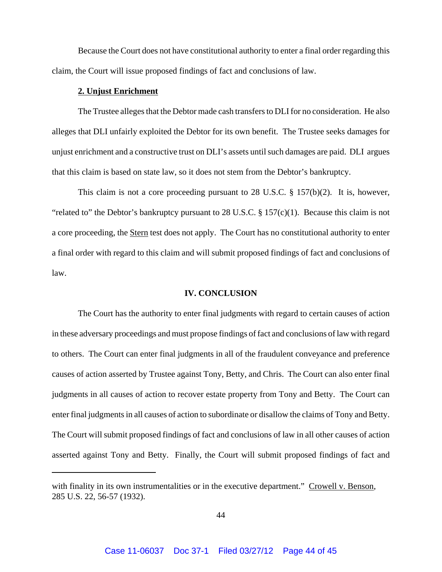Because the Court does not have constitutional authority to enter a final order regarding this claim, the Court will issue proposed findings of fact and conclusions of law.

### **2. Unjust Enrichment**

The Trustee alleges that the Debtor made cash transfers to DLI for no consideration. He also alleges that DLI unfairly exploited the Debtor for its own benefit. The Trustee seeks damages for unjust enrichment and a constructive trust on DLI's assets until such damages are paid. DLI argues that this claim is based on state law, so it does not stem from the Debtor's bankruptcy.

This claim is not a core proceeding pursuant to 28 U.S.C. § 157(b)(2). It is, however, "related to" the Debtor's bankruptcy pursuant to 28 U.S.C.  $\S 157(c)(1)$ . Because this claim is not a core proceeding, the Stern test does not apply. The Court has no constitutional authority to enter a final order with regard to this claim and will submit proposed findings of fact and conclusions of law.

### **IV. CONCLUSION**

The Court has the authority to enter final judgments with regard to certain causes of action in these adversary proceedings and must propose findings of fact and conclusions of law with regard to others. The Court can enter final judgments in all of the fraudulent conveyance and preference causes of action asserted by Trustee against Tony, Betty, and Chris. The Court can also enter final judgments in all causes of action to recover estate property from Tony and Betty. The Court can enter final judgments in all causes of action to subordinate or disallow the claims of Tony and Betty. The Court will submit proposed findings of fact and conclusions of law in all other causes of action asserted against Tony and Betty. Finally, the Court will submit proposed findings of fact and

with finality in its own instrumentalities or in the executive department." Crowell v. Benson, 285 U.S. 22, 56-57 (1932).